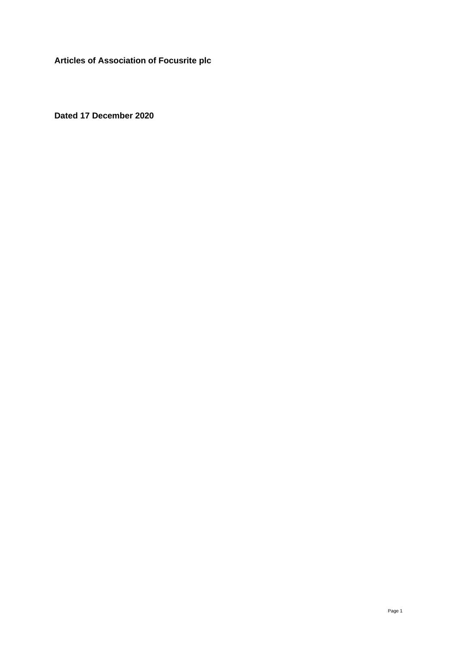**Articles of Association of Focusrite plc** 

**Dated 17 December 2020**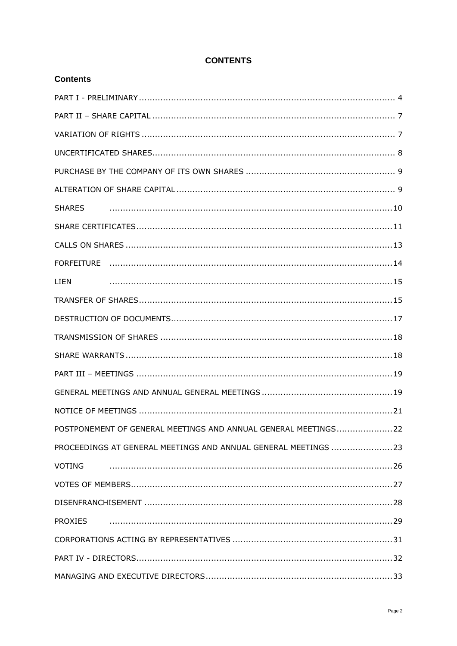| <b>LIEN</b>                                                    |
|----------------------------------------------------------------|
|                                                                |
|                                                                |
|                                                                |
|                                                                |
|                                                                |
|                                                                |
|                                                                |
| POSTPONEMENT OF GENERAL MEETINGS AND ANNUAL GENERAL MEETINGS22 |
| PROCEEDINGS AT GENERAL MEETINGS AND ANNUAL GENERAL MEETINGS 23 |
| VOTING                                                         |
|                                                                |
|                                                                |
| <b>PROXIES</b>                                                 |
|                                                                |
|                                                                |
|                                                                |

# **CONTENTS**

**Contents**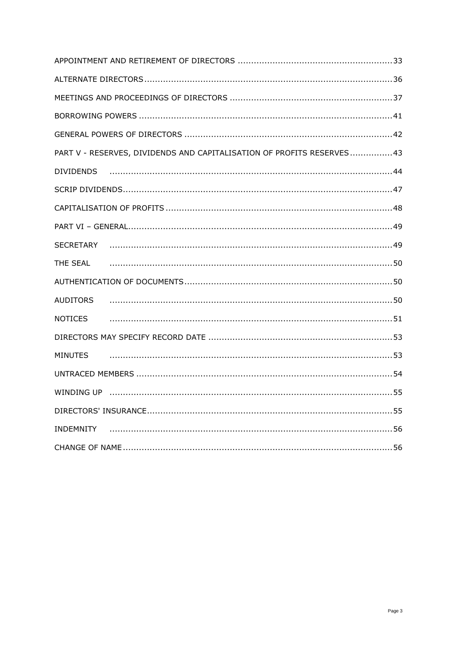| PART V - RESERVES, DIVIDENDS AND CAPITALISATION OF PROFITS RESERVES43 |
|-----------------------------------------------------------------------|
| DIVIDENDS                                                             |
|                                                                       |
|                                                                       |
|                                                                       |
| SECRETARY                                                             |
| THE SEAL                                                              |
|                                                                       |
| <b>AUDITORS</b>                                                       |
| <b>NOTICES</b>                                                        |
|                                                                       |
| <b>MINUTES</b>                                                        |
|                                                                       |
|                                                                       |
|                                                                       |
| <b>INDEMNITY</b>                                                      |
|                                                                       |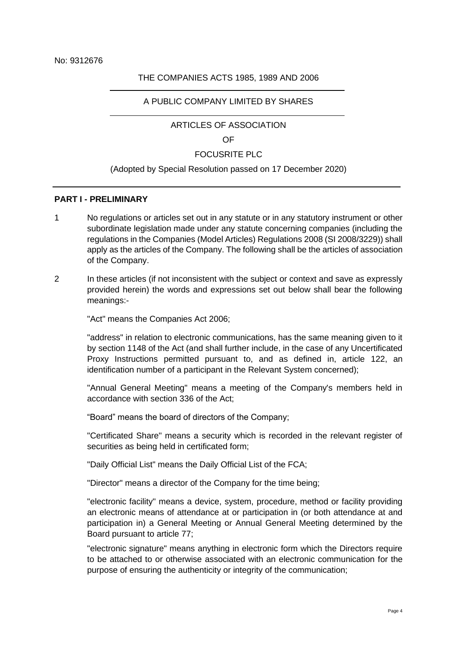#### THE COMPANIES ACTS 1985, 1989 AND 2006

#### A PUBLIC COMPANY LIMITED BY SHARES

ARTICLES OF ASSOCIATION

OF

#### FOCUSRITE PLC

#### (Adopted by Special Resolution passed on 17 December 2020)

#### **PART I - PRELIMINARY**

- 1 No regulations or articles set out in any statute or in any statutory instrument or other subordinate legislation made under any statute concerning companies (including the regulations in the Companies (Model Articles) Regulations 2008 (SI 2008/3229)) shall apply as the articles of the Company. The following shall be the articles of association of the Company.
- 2 In these articles (if not inconsistent with the subject or context and save as expressly provided herein) the words and expressions set out below shall bear the following meanings:-

"Act" means the Companies Act 2006;

"address" in relation to electronic communications, has the same meaning given to it by section 1148 of the Act (and shall further include, in the case of any Uncertificated Proxy Instructions permitted pursuant to, and as defined in, article [122,](#page-28-0) an identification number of a participant in the Relevant System concerned);

"Annual General Meeting" means a meeting of the Company's members held in accordance with section 336 of the Act;

"Board" means the board of directors of the Company;

"Certificated Share" means a security which is recorded in the relevant register of securities as being held in certificated form;

"Daily Official List" means the Daily Official List of the FCA;

"Director" means a director of the Company for the time being;

"electronic facility" means a device, system, procedure, method or facility providing an electronic means of attendance at or participation in (or both attendance at and participation in) a General Meeting or Annual General Meeting determined by the Board pursuant to article 77;

"electronic signature" means anything in electronic form which the Directors require to be attached to or otherwise associated with an electronic communication for the purpose of ensuring the authenticity or integrity of the communication;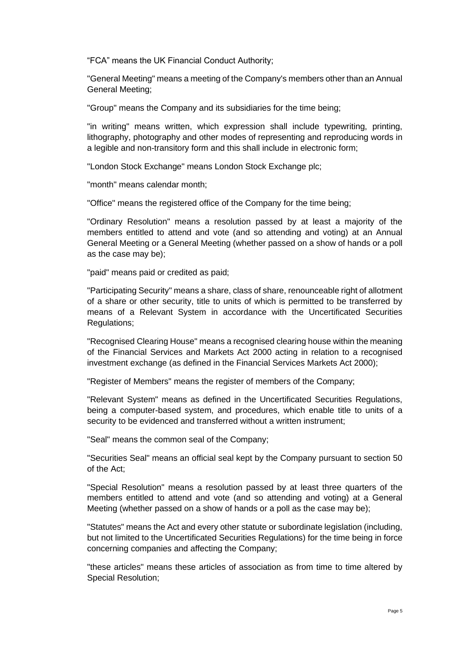"FCA" means the UK Financial Conduct Authority;

"General Meeting" means a meeting of the Company's members other than an Annual General Meeting;

"Group" means the Company and its subsidiaries for the time being;

"in writing" means written, which expression shall include typewriting, printing, lithography, photography and other modes of representing and reproducing words in a legible and non-transitory form and this shall include in electronic form;

"London Stock Exchange" means London Stock Exchange plc;

"month" means calendar month;

"Office" means the registered office of the Company for the time being;

"Ordinary Resolution" means a resolution passed by at least a majority of the members entitled to attend and vote (and so attending and voting) at an Annual General Meeting or a General Meeting (whether passed on a show of hands or a poll as the case may be);

"paid" means paid or credited as paid;

"Participating Security" means a share, class of share, renounceable right of allotment of a share or other security, title to units of which is permitted to be transferred by means of a Relevant System in accordance with the Uncertificated Securities Regulations;

"Recognised Clearing House" means a recognised clearing house within the meaning of the Financial Services and Markets Act 2000 acting in relation to a recognised investment exchange (as defined in the Financial Services Markets Act 2000);

"Register of Members" means the register of members of the Company;

"Relevant System" means as defined in the Uncertificated Securities Regulations, being a computer-based system, and procedures, which enable title to units of a security to be evidenced and transferred without a written instrument;

"Seal" means the common seal of the Company;

"Securities Seal" means an official seal kept by the Company pursuant to section 50 of the Act;

"Special Resolution" means a resolution passed by at least three quarters of the members entitled to attend and vote (and so attending and voting) at a General Meeting (whether passed on a show of hands or a poll as the case may be);

"Statutes" means the Act and every other statute or subordinate legislation (including, but not limited to the Uncertificated Securities Regulations) for the time being in force concerning companies and affecting the Company;

"these articles" means these articles of association as from time to time altered by Special Resolution;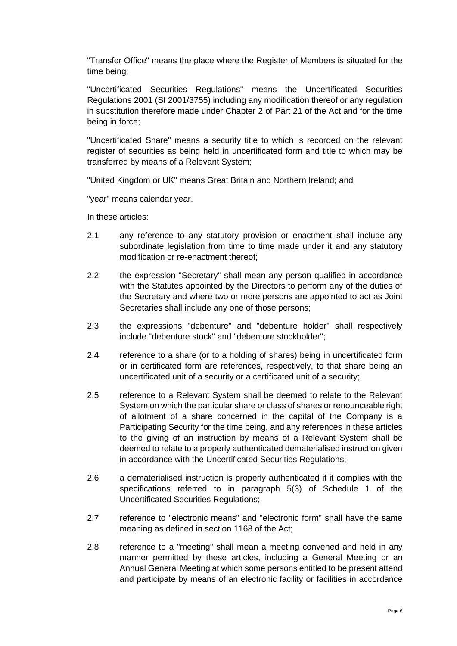"Transfer Office" means the place where the Register of Members is situated for the time being;

"Uncertificated Securities Regulations" means the Uncertificated Securities Regulations 2001 (SI 2001/3755) including any modification thereof or any regulation in substitution therefore made under Chapter 2 of Part 21 of the Act and for the time being in force;

"Uncertificated Share" means a security title to which is recorded on the relevant register of securities as being held in uncertificated form and title to which may be transferred by means of a Relevant System;

"United Kingdom or UK" means Great Britain and Northern Ireland; and

"year" means calendar year.

In these articles:

- 2.1 any reference to any statutory provision or enactment shall include any subordinate legislation from time to time made under it and any statutory modification or re-enactment thereof;
- 2.2 the expression "Secretary" shall mean any person qualified in accordance with the Statutes appointed by the Directors to perform any of the duties of the Secretary and where two or more persons are appointed to act as Joint Secretaries shall include any one of those persons;
- 2.3 the expressions "debenture" and "debenture holder" shall respectively include "debenture stock" and "debenture stockholder";
- 2.4 reference to a share (or to a holding of shares) being in uncertificated form or in certificated form are references, respectively, to that share being an uncertificated unit of a security or a certificated unit of a security;
- 2.5 reference to a Relevant System shall be deemed to relate to the Relevant System on which the particular share or class of shares or renounceable right of allotment of a share concerned in the capital of the Company is a Participating Security for the time being, and any references in these articles to the giving of an instruction by means of a Relevant System shall be deemed to relate to a properly authenticated dematerialised instruction given in accordance with the Uncertificated Securities Regulations;
- 2.6 a dematerialised instruction is properly authenticated if it complies with the specifications referred to in paragraph 5(3) of Schedule 1 of the Uncertificated Securities Regulations;
- 2.7 reference to "electronic means" and "electronic form" shall have the same meaning as defined in section 1168 of the Act;
- 2.8 reference to a "meeting" shall mean a meeting convened and held in any manner permitted by these articles, including a General Meeting or an Annual General Meeting at which some persons entitled to be present attend and participate by means of an electronic facility or facilities in accordance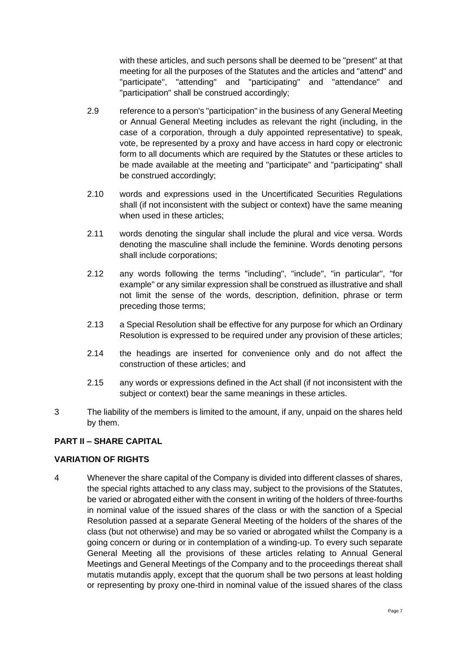with these articles, and such persons shall be deemed to be "present" at that meeting for all the purposes of the Statutes and the articles and "attend" and "participate", "attending" and "participating" and "attendance" and "participation" shall be construed accordingly;

- 2.9 reference to a person's "participation" in the business of any General Meeting or Annual General Meeting includes as relevant the right (including, in the case of a corporation, through a duly appointed representative) to speak, vote, be represented by a proxy and have access in hard copy or electronic form to all documents which are required by the Statutes or these articles to be made available at the meeting and "participate" and "participating" shall be construed accordingly;
- 2.10 words and expressions used in the Uncertificated Securities Regulations shall (if not inconsistent with the subject or context) have the same meaning when used in these articles;
- 2.11 words denoting the singular shall include the plural and vice versa. Words denoting the masculine shall include the feminine. Words denoting persons shall include corporations;
- 2.12 any words following the terms "including", "include", "in particular", "for example" or any similar expression shall be construed as illustrative and shall not limit the sense of the words, description, definition, phrase or term preceding those terms;
- 2.13 a Special Resolution shall be effective for any purpose for which an Ordinary Resolution is expressed to be required under any provision of these articles;
- 2.14 the headings are inserted for convenience only and do not affect the construction of these articles; and
- 2.15 any words or expressions defined in the Act shall (if not inconsistent with the subject or context) bear the same meanings in these articles.
- 3 The liability of the members is limited to the amount, if any, unpaid on the shares held by them.

## **PART II – SHARE CAPITAL**

## **VARIATION OF RIGHTS**

4 Whenever the share capital of the Company is divided into different classes of shares, the special rights attached to any class may, subject to the provisions of the Statutes, be varied or abrogated either with the consent in writing of the holders of three-fourths in nominal value of the issued shares of the class or with the sanction of a Special Resolution passed at a separate General Meeting of the holders of the shares of the class (but not otherwise) and may be so varied or abrogated whilst the Company is a going concern or during or in contemplation of a winding-up. To every such separate General Meeting all the provisions of these articles relating to Annual General Meetings and General Meetings of the Company and to the proceedings thereat shall mutatis mutandis apply, except that the quorum shall be two persons at least holding or representing by proxy one-third in nominal value of the issued shares of the class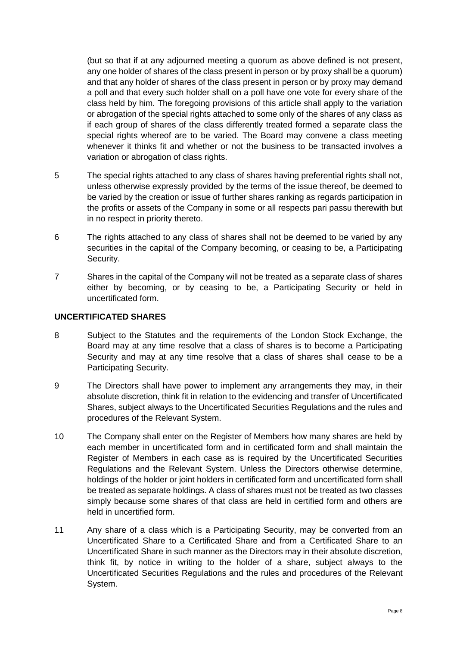(but so that if at any adjourned meeting a quorum as above defined is not present, any one holder of shares of the class present in person or by proxy shall be a quorum) and that any holder of shares of the class present in person or by proxy may demand a poll and that every such holder shall on a poll have one vote for every share of the class held by him. The foregoing provisions of this article shall apply to the variation or abrogation of the special rights attached to some only of the shares of any class as if each group of shares of the class differently treated formed a separate class the special rights whereof are to be varied. The Board may convene a class meeting whenever it thinks fit and whether or not the business to be transacted involves a variation or abrogation of class rights.

- 5 The special rights attached to any class of shares having preferential rights shall not, unless otherwise expressly provided by the terms of the issue thereof, be deemed to be varied by the creation or issue of further shares ranking as regards participation in the profits or assets of the Company in some or all respects pari passu therewith but in no respect in priority thereto.
- 6 The rights attached to any class of shares shall not be deemed to be varied by any securities in the capital of the Company becoming, or ceasing to be, a Participating Security.
- 7 Shares in the capital of the Company will not be treated as a separate class of shares either by becoming, or by ceasing to be, a Participating Security or held in uncertificated form.

#### **UNCERTIFICATED SHARES**

- <span id="page-7-0"></span>8 Subject to the Statutes and the requirements of the London Stock Exchange, the Board may at any time resolve that a class of shares is to become a Participating Security and may at any time resolve that a class of shares shall cease to be a Participating Security.
- 9 The Directors shall have power to implement any arrangements they may, in their absolute discretion, think fit in relation to the evidencing and transfer of Uncertificated Shares, subject always to the Uncertificated Securities Regulations and the rules and procedures of the Relevant System.
- 10 The Company shall enter on the Register of Members how many shares are held by each member in uncertificated form and in certificated form and shall maintain the Register of Members in each case as is required by the Uncertificated Securities Regulations and the Relevant System. Unless the Directors otherwise determine, holdings of the holder or joint holders in certificated form and uncertificated form shall be treated as separate holdings. A class of shares must not be treated as two classes simply because some shares of that class are held in certified form and others are held in uncertified form.
- 11 Any share of a class which is a Participating Security, may be converted from an Uncertificated Share to a Certificated Share and from a Certificated Share to an Uncertificated Share in such manner as the Directors may in their absolute discretion, think fit, by notice in writing to the holder of a share, subject always to the Uncertificated Securities Regulations and the rules and procedures of the Relevant System.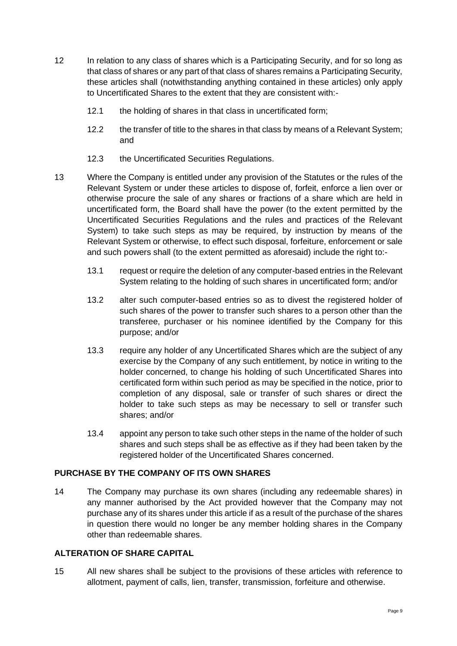- 12 In relation to any class of shares which is a Participating Security, and for so long as that class of shares or any part of that class of shares remains a Participating Security, these articles shall (notwithstanding anything contained in these articles) only apply to Uncertificated Shares to the extent that they are consistent with:-
	- 12.1 the holding of shares in that class in uncertificated form;
	- 12.2 the transfer of title to the shares in that class by means of a Relevant System; and
	- 12.3 the Uncertificated Securities Regulations.
- 13 Where the Company is entitled under any provision of the Statutes or the rules of the Relevant System or under these articles to dispose of, forfeit, enforce a lien over or otherwise procure the sale of any shares or fractions of a share which are held in uncertificated form, the Board shall have the power (to the extent permitted by the Uncertificated Securities Regulations and the rules and practices of the Relevant System) to take such steps as may be required, by instruction by means of the Relevant System or otherwise, to effect such disposal, forfeiture, enforcement or sale and such powers shall (to the extent permitted as aforesaid) include the right to:-
	- 13.1 request or require the deletion of any computer-based entries in the Relevant System relating to the holding of such shares in uncertificated form; and/or
	- 13.2 alter such computer-based entries so as to divest the registered holder of such shares of the power to transfer such shares to a person other than the transferee, purchaser or his nominee identified by the Company for this purpose; and/or
	- 13.3 require any holder of any Uncertificated Shares which are the subject of any exercise by the Company of any such entitlement, by notice in writing to the holder concerned, to change his holding of such Uncertificated Shares into certificated form within such period as may be specified in the notice, prior to completion of any disposal, sale or transfer of such shares or direct the holder to take such steps as may be necessary to sell or transfer such shares; and/or
	- 13.4 appoint any person to take such other steps in the name of the holder of such shares and such steps shall be as effective as if they had been taken by the registered holder of the Uncertificated Shares concerned.

## **PURCHASE BY THE COMPANY OF ITS OWN SHARES**

14 The Company may purchase its own shares (including any redeemable shares) in any manner authorised by the Act provided however that the Company may not purchase any of its shares under this article if as a result of the purchase of the shares in question there would no longer be any member holding shares in the Company other than redeemable shares.

#### **ALTERATION OF SHARE CAPITAL**

15 All new shares shall be subject to the provisions of these articles with reference to allotment, payment of calls, lien, transfer, transmission, forfeiture and otherwise.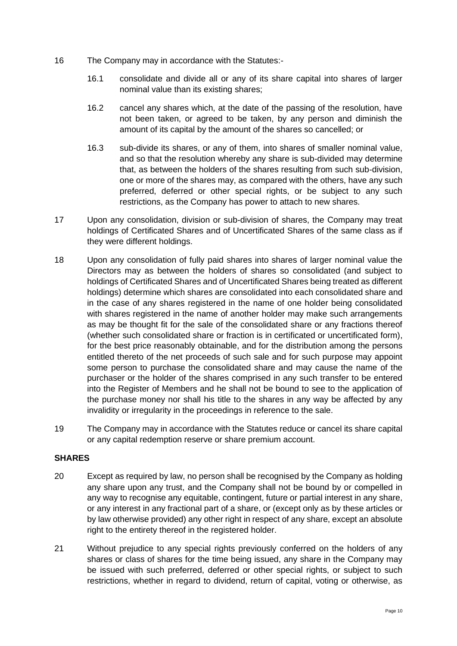- 16 The Company may in accordance with the Statutes:-
	- 16.1 consolidate and divide all or any of its share capital into shares of larger nominal value than its existing shares;
	- 16.2 cancel any shares which, at the date of the passing of the resolution, have not been taken, or agreed to be taken, by any person and diminish the amount of its capital by the amount of the shares so cancelled; or
	- 16.3 sub-divide its shares, or any of them, into shares of smaller nominal value, and so that the resolution whereby any share is sub-divided may determine that, as between the holders of the shares resulting from such sub-division, one or more of the shares may, as compared with the others, have any such preferred, deferred or other special rights, or be subject to any such restrictions, as the Company has power to attach to new shares.
- 17 Upon any consolidation, division or sub-division of shares, the Company may treat holdings of Certificated Shares and of Uncertificated Shares of the same class as if they were different holdings.
- 18 Upon any consolidation of fully paid shares into shares of larger nominal value the Directors may as between the holders of shares so consolidated (and subject to holdings of Certificated Shares and of Uncertificated Shares being treated as different holdings) determine which shares are consolidated into each consolidated share and in the case of any shares registered in the name of one holder being consolidated with shares registered in the name of another holder may make such arrangements as may be thought fit for the sale of the consolidated share or any fractions thereof (whether such consolidated share or fraction is in certificated or uncertificated form), for the best price reasonably obtainable, and for the distribution among the persons entitled thereto of the net proceeds of such sale and for such purpose may appoint some person to purchase the consolidated share and may cause the name of the purchaser or the holder of the shares comprised in any such transfer to be entered into the Register of Members and he shall not be bound to see to the application of the purchase money nor shall his title to the shares in any way be affected by any invalidity or irregularity in the proceedings in reference to the sale.
- 19 The Company may in accordance with the Statutes reduce or cancel its share capital or any capital redemption reserve or share premium account.

### **SHARES**

- 20 Except as required by law, no person shall be recognised by the Company as holding any share upon any trust, and the Company shall not be bound by or compelled in any way to recognise any equitable, contingent, future or partial interest in any share, or any interest in any fractional part of a share, or (except only as by these articles or by law otherwise provided) any other right in respect of any share, except an absolute right to the entirety thereof in the registered holder.
- 21 Without prejudice to any special rights previously conferred on the holders of any shares or class of shares for the time being issued, any share in the Company may be issued with such preferred, deferred or other special rights, or subject to such restrictions, whether in regard to dividend, return of capital, voting or otherwise, as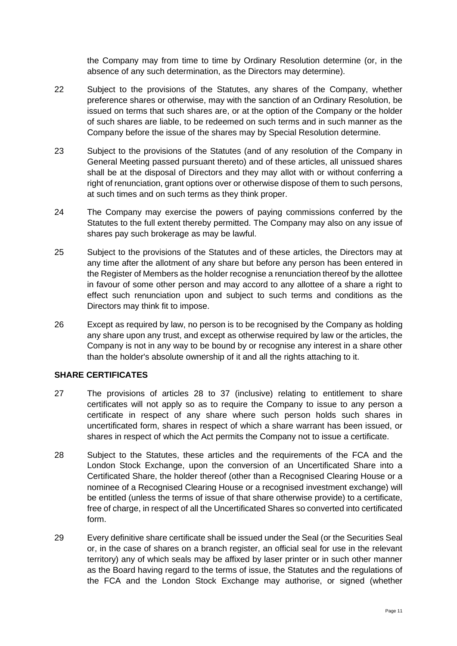the Company may from time to time by Ordinary Resolution determine (or, in the absence of any such determination, as the Directors may determine).

- 22 Subject to the provisions of the Statutes, any shares of the Company, whether preference shares or otherwise, may with the sanction of an Ordinary Resolution, be issued on terms that such shares are, or at the option of the Company or the holder of such shares are liable, to be redeemed on such terms and in such manner as the Company before the issue of the shares may by Special Resolution determine.
- 23 Subject to the provisions of the Statutes (and of any resolution of the Company in General Meeting passed pursuant thereto) and of these articles, all unissued shares shall be at the disposal of Directors and they may allot with or without conferring a right of renunciation, grant options over or otherwise dispose of them to such persons, at such times and on such terms as they think proper.
- 24 The Company may exercise the powers of paying commissions conferred by the Statutes to the full extent thereby permitted. The Company may also on any issue of shares pay such brokerage as may be lawful.
- 25 Subject to the provisions of the Statutes and of these articles, the Directors may at any time after the allotment of any share but before any person has been entered in the Register of Members as the holder recognise a renunciation thereof by the allottee in favour of some other person and may accord to any allottee of a share a right to effect such renunciation upon and subject to such terms and conditions as the Directors may think fit to impose.
- 26 Except as required by law, no person is to be recognised by the Company as holding any share upon any trust, and except as otherwise required by law or the articles, the Company is not in any way to be bound by or recognise any interest in a share other than the holder's absolute ownership of it and all the rights attaching to it.

#### **SHARE CERTIFICATES**

- 27 The provisions of articles [28](#page-10-0) to [37](#page-11-0) (inclusive) relating to entitlement to share certificates will not apply so as to require the Company to issue to any person a certificate in respect of any share where such person holds such shares in uncertificated form, shares in respect of which a share warrant has been issued, or shares in respect of which the Act permits the Company not to issue a certificate.
- <span id="page-10-0"></span>28 Subject to the Statutes, these articles and the requirements of the FCA and the London Stock Exchange, upon the conversion of an Uncertificated Share into a Certificated Share, the holder thereof (other than a Recognised Clearing House or a nominee of a Recognised Clearing House or a recognised investment exchange) will be entitled (unless the terms of issue of that share otherwise provide) to a certificate, free of charge, in respect of all the Uncertificated Shares so converted into certificated form.
- 29 Every definitive share certificate shall be issued under the Seal (or the Securities Seal or, in the case of shares on a branch register, an official seal for use in the relevant territory) any of which seals may be affixed by laser printer or in such other manner as the Board having regard to the terms of issue, the Statutes and the regulations of the FCA and the London Stock Exchange may authorise, or signed (whether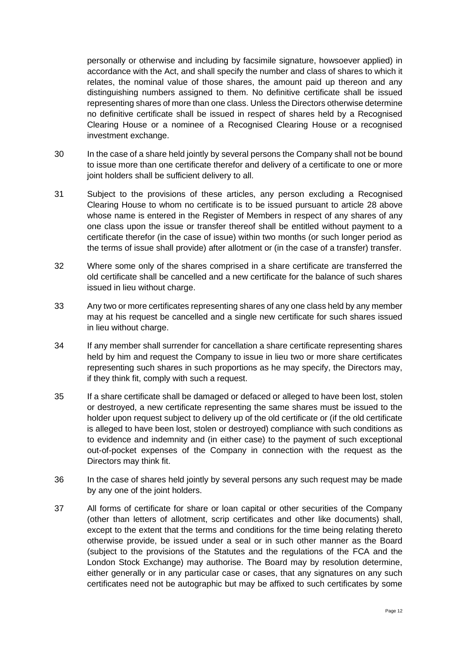personally or otherwise and including by facsimile signature, howsoever applied) in accordance with the Act, and shall specify the number and class of shares to which it relates, the nominal value of those shares, the amount paid up thereon and any distinguishing numbers assigned to them. No definitive certificate shall be issued representing shares of more than one class. Unless the Directors otherwise determine no definitive certificate shall be issued in respect of shares held by a Recognised Clearing House or a nominee of a Recognised Clearing House or a recognised investment exchange.

- 30 In the case of a share held jointly by several persons the Company shall not be bound to issue more than one certificate therefor and delivery of a certificate to one or more joint holders shall be sufficient delivery to all.
- 31 Subject to the provisions of these articles, any person excluding a Recognised Clearing House to whom no certificate is to be issued pursuant to article [28](#page-7-0) above whose name is entered in the Register of Members in respect of any shares of any one class upon the issue or transfer thereof shall be entitled without payment to a certificate therefor (in the case of issue) within two months (or such longer period as the terms of issue shall provide) after allotment or (in the case of a transfer) transfer.
- 32 Where some only of the shares comprised in a share certificate are transferred the old certificate shall be cancelled and a new certificate for the balance of such shares issued in lieu without charge.
- 33 Any two or more certificates representing shares of any one class held by any member may at his request be cancelled and a single new certificate for such shares issued in lieu without charge.
- 34 If any member shall surrender for cancellation a share certificate representing shares held by him and request the Company to issue in lieu two or more share certificates representing such shares in such proportions as he may specify, the Directors may, if they think fit, comply with such a request.
- 35 If a share certificate shall be damaged or defaced or alleged to have been lost, stolen or destroyed, a new certificate representing the same shares must be issued to the holder upon request subject to delivery up of the old certificate or (if the old certificate is alleged to have been lost, stolen or destroyed) compliance with such conditions as to evidence and indemnity and (in either case) to the payment of such exceptional out-of-pocket expenses of the Company in connection with the request as the Directors may think fit.
- 36 In the case of shares held jointly by several persons any such request may be made by any one of the joint holders.
- <span id="page-11-0"></span>37 All forms of certificate for share or loan capital or other securities of the Company (other than letters of allotment, scrip certificates and other like documents) shall, except to the extent that the terms and conditions for the time being relating thereto otherwise provide, be issued under a seal or in such other manner as the Board (subject to the provisions of the Statutes and the regulations of the FCA and the London Stock Exchange) may authorise. The Board may by resolution determine, either generally or in any particular case or cases, that any signatures on any such certificates need not be autographic but may be affixed to such certificates by some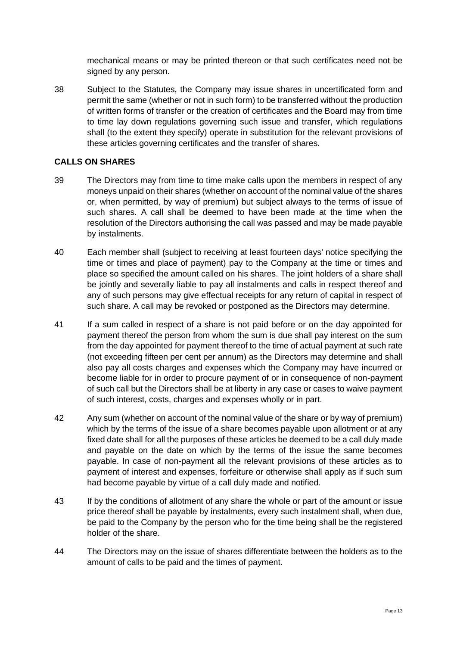mechanical means or may be printed thereon or that such certificates need not be signed by any person.

38 Subject to the Statutes, the Company may issue shares in uncertificated form and permit the same (whether or not in such form) to be transferred without the production of written forms of transfer or the creation of certificates and the Board may from time to time lay down regulations governing such issue and transfer, which regulations shall (to the extent they specify) operate in substitution for the relevant provisions of these articles governing certificates and the transfer of shares.

### **CALLS ON SHARES**

- 39 The Directors may from time to time make calls upon the members in respect of any moneys unpaid on their shares (whether on account of the nominal value of the shares or, when permitted, by way of premium) but subject always to the terms of issue of such shares. A call shall be deemed to have been made at the time when the resolution of the Directors authorising the call was passed and may be made payable by instalments.
- 40 Each member shall (subject to receiving at least fourteen days' notice specifying the time or times and place of payment) pay to the Company at the time or times and place so specified the amount called on his shares. The joint holders of a share shall be jointly and severally liable to pay all instalments and calls in respect thereof and any of such persons may give effectual receipts for any return of capital in respect of such share. A call may be revoked or postponed as the Directors may determine.
- 41 If a sum called in respect of a share is not paid before or on the day appointed for payment thereof the person from whom the sum is due shall pay interest on the sum from the day appointed for payment thereof to the time of actual payment at such rate (not exceeding fifteen per cent per annum) as the Directors may determine and shall also pay all costs charges and expenses which the Company may have incurred or become liable for in order to procure payment of or in consequence of non-payment of such call but the Directors shall be at liberty in any case or cases to waive payment of such interest, costs, charges and expenses wholly or in part.
- 42 Any sum (whether on account of the nominal value of the share or by way of premium) which by the terms of the issue of a share becomes payable upon allotment or at any fixed date shall for all the purposes of these articles be deemed to be a call duly made and payable on the date on which by the terms of the issue the same becomes payable. In case of non-payment all the relevant provisions of these articles as to payment of interest and expenses, forfeiture or otherwise shall apply as if such sum had become payable by virtue of a call duly made and notified.
- 43 If by the conditions of allotment of any share the whole or part of the amount or issue price thereof shall be payable by instalments, every such instalment shall, when due, be paid to the Company by the person who for the time being shall be the registered holder of the share.
- 44 The Directors may on the issue of shares differentiate between the holders as to the amount of calls to be paid and the times of payment.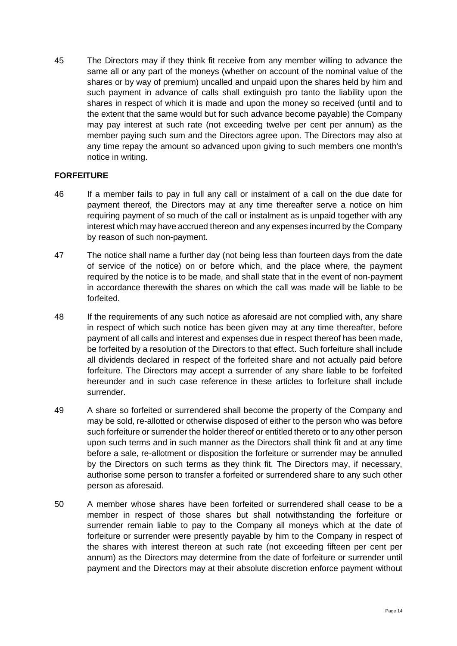45 The Directors may if they think fit receive from any member willing to advance the same all or any part of the moneys (whether on account of the nominal value of the shares or by way of premium) uncalled and unpaid upon the shares held by him and such payment in advance of calls shall extinguish pro tanto the liability upon the shares in respect of which it is made and upon the money so received (until and to the extent that the same would but for such advance become payable) the Company may pay interest at such rate (not exceeding twelve per cent per annum) as the member paying such sum and the Directors agree upon. The Directors may also at any time repay the amount so advanced upon giving to such members one month's notice in writing.

#### **FORFEITURE**

- 46 If a member fails to pay in full any call or instalment of a call on the due date for payment thereof, the Directors may at any time thereafter serve a notice on him requiring payment of so much of the call or instalment as is unpaid together with any interest which may have accrued thereon and any expenses incurred by the Company by reason of such non-payment.
- 47 The notice shall name a further day (not being less than fourteen days from the date of service of the notice) on or before which, and the place where, the payment required by the notice is to be made, and shall state that in the event of non-payment in accordance therewith the shares on which the call was made will be liable to be forfeited.
- 48 If the requirements of any such notice as aforesaid are not complied with, any share in respect of which such notice has been given may at any time thereafter, before payment of all calls and interest and expenses due in respect thereof has been made, be forfeited by a resolution of the Directors to that effect. Such forfeiture shall include all dividends declared in respect of the forfeited share and not actually paid before forfeiture. The Directors may accept a surrender of any share liable to be forfeited hereunder and in such case reference in these articles to forfeiture shall include surrender.
- 49 A share so forfeited or surrendered shall become the property of the Company and may be sold, re-allotted or otherwise disposed of either to the person who was before such forfeiture or surrender the holder thereof or entitled thereto or to any other person upon such terms and in such manner as the Directors shall think fit and at any time before a sale, re-allotment or disposition the forfeiture or surrender may be annulled by the Directors on such terms as they think fit. The Directors may, if necessary, authorise some person to transfer a forfeited or surrendered share to any such other person as aforesaid.
- 50 A member whose shares have been forfeited or surrendered shall cease to be a member in respect of those shares but shall notwithstanding the forfeiture or surrender remain liable to pay to the Company all moneys which at the date of forfeiture or surrender were presently payable by him to the Company in respect of the shares with interest thereon at such rate (not exceeding fifteen per cent per annum) as the Directors may determine from the date of forfeiture or surrender until payment and the Directors may at their absolute discretion enforce payment without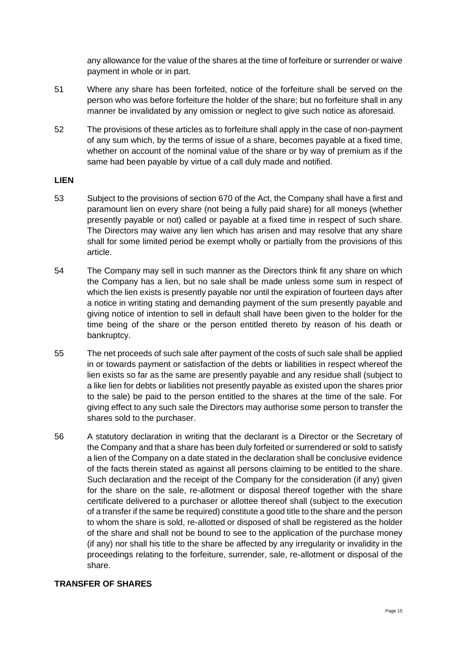any allowance for the value of the shares at the time of forfeiture or surrender or waive payment in whole or in part.

- 51 Where any share has been forfeited, notice of the forfeiture shall be served on the person who was before forfeiture the holder of the share; but no forfeiture shall in any manner be invalidated by any omission or neglect to give such notice as aforesaid.
- 52 The provisions of these articles as to forfeiture shall apply in the case of non-payment of any sum which, by the terms of issue of a share, becomes payable at a fixed time, whether on account of the nominal value of the share or by way of premium as if the same had been payable by virtue of a call duly made and notified.

#### **LIEN**

- 53 Subject to the provisions of section 670 of the Act, the Company shall have a first and paramount lien on every share (not being a fully paid share) for all moneys (whether presently payable or not) called or payable at a fixed time in respect of such share. The Directors may waive any lien which has arisen and may resolve that any share shall for some limited period be exempt wholly or partially from the provisions of this article.
- 54 The Company may sell in such manner as the Directors think fit any share on which the Company has a lien, but no sale shall be made unless some sum in respect of which the lien exists is presently payable nor until the expiration of fourteen days after a notice in writing stating and demanding payment of the sum presently payable and giving notice of intention to sell in default shall have been given to the holder for the time being of the share or the person entitled thereto by reason of his death or bankruptcy.
- 55 The net proceeds of such sale after payment of the costs of such sale shall be applied in or towards payment or satisfaction of the debts or liabilities in respect whereof the lien exists so far as the same are presently payable and any residue shall (subject to a like lien for debts or liabilities not presently payable as existed upon the shares prior to the sale) be paid to the person entitled to the shares at the time of the sale. For giving effect to any such sale the Directors may authorise some person to transfer the shares sold to the purchaser.
- 56 A statutory declaration in writing that the declarant is a Director or the Secretary of the Company and that a share has been duly forfeited or surrendered or sold to satisfy a lien of the Company on a date stated in the declaration shall be conclusive evidence of the facts therein stated as against all persons claiming to be entitled to the share. Such declaration and the receipt of the Company for the consideration (if any) given for the share on the sale, re-allotment or disposal thereof together with the share certificate delivered to a purchaser or allottee thereof shall (subject to the execution of a transfer if the same be required) constitute a good title to the share and the person to whom the share is sold, re-allotted or disposed of shall be registered as the holder of the share and shall not be bound to see to the application of the purchase money (if any) nor shall his title to the share be affected by any irregularity or invalidity in the proceedings relating to the forfeiture, surrender, sale, re-allotment or disposal of the share.

#### **TRANSFER OF SHARES**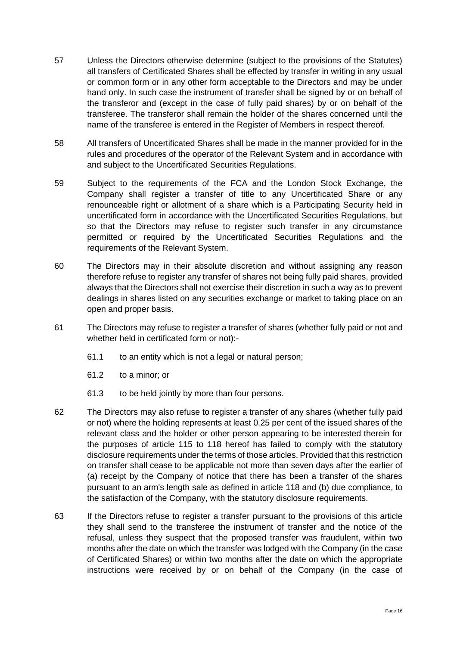- 57 Unless the Directors otherwise determine (subject to the provisions of the Statutes) all transfers of Certificated Shares shall be effected by transfer in writing in any usual or common form or in any other form acceptable to the Directors and may be under hand only. In such case the instrument of transfer shall be signed by or on behalf of the transferor and (except in the case of fully paid shares) by or on behalf of the transferee. The transferor shall remain the holder of the shares concerned until the name of the transferee is entered in the Register of Members in respect thereof.
- 58 All transfers of Uncertificated Shares shall be made in the manner provided for in the rules and procedures of the operator of the Relevant System and in accordance with and subject to the Uncertificated Securities Regulations.
- 59 Subject to the requirements of the FCA and the London Stock Exchange, the Company shall register a transfer of title to any Uncertificated Share or any renounceable right or allotment of a share which is a Participating Security held in uncertificated form in accordance with the Uncertificated Securities Regulations, but so that the Directors may refuse to register such transfer in any circumstance permitted or required by the Uncertificated Securities Regulations and the requirements of the Relevant System.
- 60 The Directors may in their absolute discretion and without assigning any reason therefore refuse to register any transfer of shares not being fully paid shares, provided always that the Directors shall not exercise their discretion in such a way as to prevent dealings in shares listed on any securities exchange or market to taking place on an open and proper basis.
- 61 The Directors may refuse to register a transfer of shares (whether fully paid or not and whether held in certificated form or not):-
	- 61.1 to an entity which is not a legal or natural person;
	- 61.2 to a minor; or
	- 61.3 to be held jointly by more than four persons.
- 62 The Directors may also refuse to register a transfer of any shares (whether fully paid or not) where the holding represents at least 0.25 per cent of the issued shares of the relevant class and the holder or other person appearing to be interested therein for the purposes of article [115](#page-27-0) to [118](#page-28-1) hereof has failed to comply with the statutory disclosure requirements under the terms of those articles. Provided that this restriction on transfer shall cease to be applicable not more than seven days after the earlier of (a) receipt by the Company of notice that there has been a transfer of the shares pursuant to an arm's length sale as defined in article [118](#page-28-1) and (b) due compliance, to the satisfaction of the Company, with the statutory disclosure requirements.
- 63 If the Directors refuse to register a transfer pursuant to the provisions of this article they shall send to the transferee the instrument of transfer and the notice of the refusal, unless they suspect that the proposed transfer was fraudulent, within two months after the date on which the transfer was lodged with the Company (in the case of Certificated Shares) or within two months after the date on which the appropriate instructions were received by or on behalf of the Company (in the case of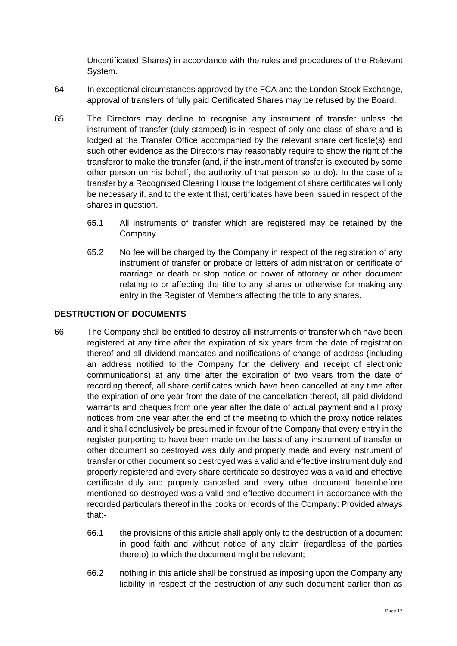Uncertificated Shares) in accordance with the rules and procedures of the Relevant System.

- 64 In exceptional circumstances approved by the FCA and the London Stock Exchange, approval of transfers of fully paid Certificated Shares may be refused by the Board.
- 65 The Directors may decline to recognise any instrument of transfer unless the instrument of transfer (duly stamped) is in respect of only one class of share and is lodged at the Transfer Office accompanied by the relevant share certificate(s) and such other evidence as the Directors may reasonably require to show the right of the transferor to make the transfer (and, if the instrument of transfer is executed by some other person on his behalf, the authority of that person so to do). In the case of a transfer by a Recognised Clearing House the lodgement of share certificates will only be necessary if, and to the extent that, certificates have been issued in respect of the shares in question.
	- 65.1 All instruments of transfer which are registered may be retained by the Company.
	- 65.2 No fee will be charged by the Company in respect of the registration of any instrument of transfer or probate or letters of administration or certificate of marriage or death or stop notice or power of attorney or other document relating to or affecting the title to any shares or otherwise for making any entry in the Register of Members affecting the title to any shares.

## **DESTRUCTION OF DOCUMENTS**

- 66 The Company shall be entitled to destroy all instruments of transfer which have been registered at any time after the expiration of six years from the date of registration thereof and all dividend mandates and notifications of change of address (including an address notified to the Company for the delivery and receipt of electronic communications) at any time after the expiration of two years from the date of recording thereof, all share certificates which have been cancelled at any time after the expiration of one year from the date of the cancellation thereof, all paid dividend warrants and cheques from one year after the date of actual payment and all proxy notices from one year after the end of the meeting to which the proxy notice relates and it shall conclusively be presumed in favour of the Company that every entry in the register purporting to have been made on the basis of any instrument of transfer or other document so destroyed was duly and properly made and every instrument of transfer or other document so destroyed was a valid and effective instrument duly and properly registered and every share certificate so destroyed was a valid and effective certificate duly and properly cancelled and every other document hereinbefore mentioned so destroyed was a valid and effective document in accordance with the recorded particulars thereof in the books or records of the Company: Provided always that:-
	- 66.1 the provisions of this article shall apply only to the destruction of a document in good faith and without notice of any claim (regardless of the parties thereto) to which the document might be relevant;
	- 66.2 nothing in this article shall be construed as imposing upon the Company any liability in respect of the destruction of any such document earlier than as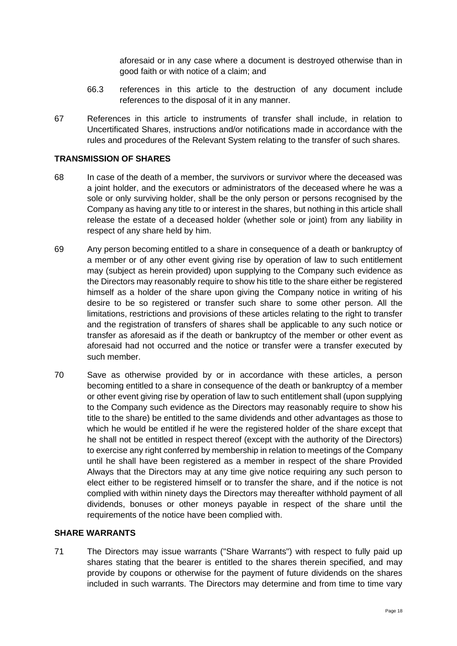aforesaid or in any case where a document is destroyed otherwise than in good faith or with notice of a claim; and

- 66.3 references in this article to the destruction of any document include references to the disposal of it in any manner.
- 67 References in this article to instruments of transfer shall include, in relation to Uncertificated Shares, instructions and/or notifications made in accordance with the rules and procedures of the Relevant System relating to the transfer of such shares.

#### **TRANSMISSION OF SHARES**

- 68 In case of the death of a member, the survivors or survivor where the deceased was a joint holder, and the executors or administrators of the deceased where he was a sole or only surviving holder, shall be the only person or persons recognised by the Company as having any title to or interest in the shares, but nothing in this article shall release the estate of a deceased holder (whether sole or joint) from any liability in respect of any share held by him.
- 69 Any person becoming entitled to a share in consequence of a death or bankruptcy of a member or of any other event giving rise by operation of law to such entitlement may (subject as herein provided) upon supplying to the Company such evidence as the Directors may reasonably require to show his title to the share either be registered himself as a holder of the share upon giving the Company notice in writing of his desire to be so registered or transfer such share to some other person. All the limitations, restrictions and provisions of these articles relating to the right to transfer and the registration of transfers of shares shall be applicable to any such notice or transfer as aforesaid as if the death or bankruptcy of the member or other event as aforesaid had not occurred and the notice or transfer were a transfer executed by such member.
- 70 Save as otherwise provided by or in accordance with these articles, a person becoming entitled to a share in consequence of the death or bankruptcy of a member or other event giving rise by operation of law to such entitlement shall (upon supplying to the Company such evidence as the Directors may reasonably require to show his title to the share) be entitled to the same dividends and other advantages as those to which he would be entitled if he were the registered holder of the share except that he shall not be entitled in respect thereof (except with the authority of the Directors) to exercise any right conferred by membership in relation to meetings of the Company until he shall have been registered as a member in respect of the share Provided Always that the Directors may at any time give notice requiring any such person to elect either to be registered himself or to transfer the share, and if the notice is not complied with within ninety days the Directors may thereafter withhold payment of all dividends, bonuses or other moneys payable in respect of the share until the requirements of the notice have been complied with.

#### **SHARE WARRANTS**

71 The Directors may issue warrants ("Share Warrants") with respect to fully paid up shares stating that the bearer is entitled to the shares therein specified, and may provide by coupons or otherwise for the payment of future dividends on the shares included in such warrants. The Directors may determine and from time to time vary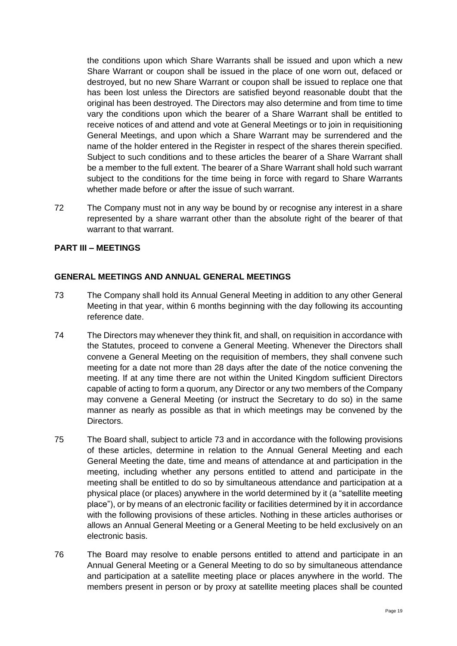the conditions upon which Share Warrants shall be issued and upon which a new Share Warrant or coupon shall be issued in the place of one worn out, defaced or destroyed, but no new Share Warrant or coupon shall be issued to replace one that has been lost unless the Directors are satisfied beyond reasonable doubt that the original has been destroyed. The Directors may also determine and from time to time vary the conditions upon which the bearer of a Share Warrant shall be entitled to receive notices of and attend and vote at General Meetings or to join in requisitioning General Meetings, and upon which a Share Warrant may be surrendered and the name of the holder entered in the Register in respect of the shares therein specified. Subject to such conditions and to these articles the bearer of a Share Warrant shall be a member to the full extent. The bearer of a Share Warrant shall hold such warrant subject to the conditions for the time being in force with regard to Share Warrants whether made before or after the issue of such warrant.

72 The Company must not in any way be bound by or recognise any interest in a share represented by a share warrant other than the absolute right of the bearer of that warrant to that warrant.

#### **PART III – MEETINGS**

#### **GENERAL MEETINGS AND ANNUAL GENERAL MEETINGS**

- 73 The Company shall hold its Annual General Meeting in addition to any other General Meeting in that year, within 6 months beginning with the day following its accounting reference date.
- 74 The Directors may whenever they think fit, and shall, on requisition in accordance with the Statutes, proceed to convene a General Meeting. Whenever the Directors shall convene a General Meeting on the requisition of members, they shall convene such meeting for a date not more than 28 days after the date of the notice convening the meeting. If at any time there are not within the United Kingdom sufficient Directors capable of acting to form a quorum, any Director or any two members of the Company may convene a General Meeting (or instruct the Secretary to do so) in the same manner as nearly as possible as that in which meetings may be convened by the Directors.
- 75 The Board shall, subject to article 73 and in accordance with the following provisions of these articles, determine in relation to the Annual General Meeting and each General Meeting the date, time and means of attendance at and participation in the meeting, including whether any persons entitled to attend and participate in the meeting shall be entitled to do so by simultaneous attendance and participation at a physical place (or places) anywhere in the world determined by it (a "satellite meeting place"), or by means of an electronic facility or facilities determined by it in accordance with the following provisions of these articles. Nothing in these articles authorises or allows an Annual General Meeting or a General Meeting to be held exclusively on an electronic basis.
- 76 The Board may resolve to enable persons entitled to attend and participate in an Annual General Meeting or a General Meeting to do so by simultaneous attendance and participation at a satellite meeting place or places anywhere in the world. The members present in person or by proxy at satellite meeting places shall be counted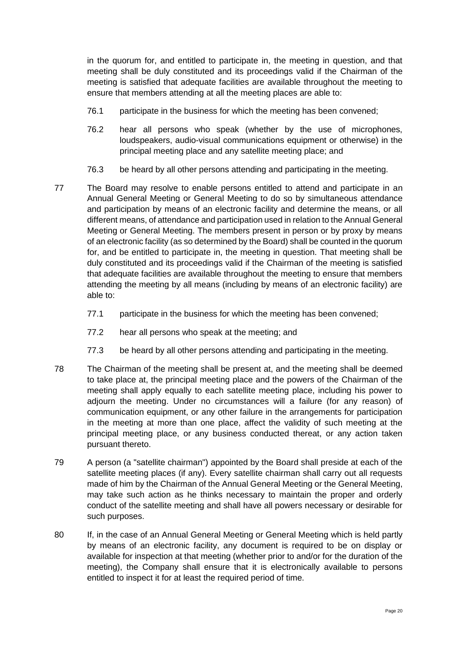in the quorum for, and entitled to participate in, the meeting in question, and that meeting shall be duly constituted and its proceedings valid if the Chairman of the meeting is satisfied that adequate facilities are available throughout the meeting to ensure that members attending at all the meeting places are able to:

- 76.1 participate in the business for which the meeting has been convened;
- 76.2 hear all persons who speak (whether by the use of microphones, loudspeakers, audio-visual communications equipment or otherwise) in the principal meeting place and any satellite meeting place; and
- 76.3 be heard by all other persons attending and participating in the meeting.
- 77 The Board may resolve to enable persons entitled to attend and participate in an Annual General Meeting or General Meeting to do so by simultaneous attendance and participation by means of an electronic facility and determine the means, or all different means, of attendance and participation used in relation to the Annual General Meeting or General Meeting. The members present in person or by proxy by means of an electronic facility (as so determined by the Board) shall be counted in the quorum for, and be entitled to participate in, the meeting in question. That meeting shall be duly constituted and its proceedings valid if the Chairman of the meeting is satisfied that adequate facilities are available throughout the meeting to ensure that members attending the meeting by all means (including by means of an electronic facility) are able to:
	- 77.1 participate in the business for which the meeting has been convened;
	- 77.2 hear all persons who speak at the meeting; and
	- 77.3 be heard by all other persons attending and participating in the meeting.
- 78 The Chairman of the meeting shall be present at, and the meeting shall be deemed to take place at, the principal meeting place and the powers of the Chairman of the meeting shall apply equally to each satellite meeting place, including his power to adjourn the meeting. Under no circumstances will a failure (for any reason) of communication equipment, or any other failure in the arrangements for participation in the meeting at more than one place, affect the validity of such meeting at the principal meeting place, or any business conducted thereat, or any action taken pursuant thereto.
- 79 A person (a "satellite chairman") appointed by the Board shall preside at each of the satellite meeting places (if any). Every satellite chairman shall carry out all requests made of him by the Chairman of the Annual General Meeting or the General Meeting, may take such action as he thinks necessary to maintain the proper and orderly conduct of the satellite meeting and shall have all powers necessary or desirable for such purposes.
- 80 If, in the case of an Annual General Meeting or General Meeting which is held partly by means of an electronic facility, any document is required to be on display or available for inspection at that meeting (whether prior to and/or for the duration of the meeting), the Company shall ensure that it is electronically available to persons entitled to inspect it for at least the required period of time.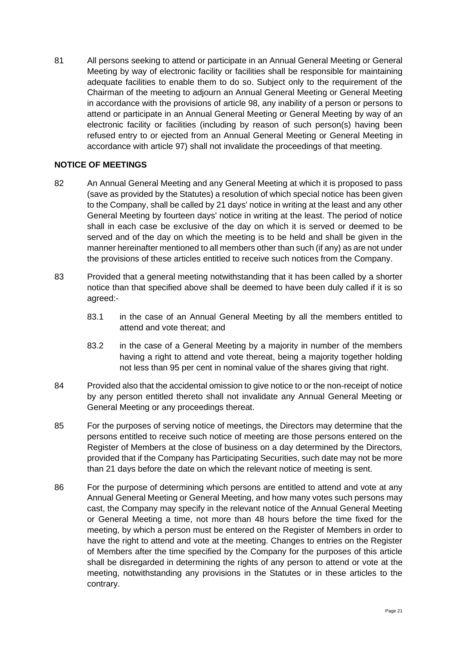81 All persons seeking to attend or participate in an Annual General Meeting or General Meeting by way of electronic facility or facilities shall be responsible for maintaining adequate facilities to enable them to do so. Subject only to the requirement of the Chairman of the meeting to adjourn an Annual General Meeting or General Meeting in accordance with the provisions of article 98, any inability of a person or persons to attend or participate in an Annual General Meeting or General Meeting by way of an electronic facility or facilities (including by reason of such person(s) having been refused entry to or ejected from an Annual General Meeting or General Meeting in accordance with article 97) shall not invalidate the proceedings of that meeting.

#### **NOTICE OF MEETINGS**

- 82 An Annual General Meeting and any General Meeting at which it is proposed to pass (save as provided by the Statutes) a resolution of which special notice has been given to the Company, shall be called by 21 days' notice in writing at the least and any other General Meeting by fourteen days' notice in writing at the least. The period of notice shall in each case be exclusive of the day on which it is served or deemed to be served and of the day on which the meeting is to be held and shall be given in the manner hereinafter mentioned to all members other than such (if any) as are not under the provisions of these articles entitled to receive such notices from the Company.
- 83 Provided that a general meeting notwithstanding that it has been called by a shorter notice than that specified above shall be deemed to have been duly called if it is so agreed:-
	- 83.1 in the case of an Annual General Meeting by all the members entitled to attend and vote thereat; and
	- 83.2 in the case of a General Meeting by a majority in number of the members having a right to attend and vote thereat, being a majority together holding not less than 95 per cent in nominal value of the shares giving that right.
- 84 Provided also that the accidental omission to give notice to or the non-receipt of notice by any person entitled thereto shall not invalidate any Annual General Meeting or General Meeting or any proceedings thereat.
- 85 For the purposes of serving notice of meetings, the Directors may determine that the persons entitled to receive such notice of meeting are those persons entered on the Register of Members at the close of business on a day determined by the Directors, provided that if the Company has Participating Securities, such date may not be more than 21 days before the date on which the relevant notice of meeting is sent.
- 86 For the purpose of determining which persons are entitled to attend and vote at any Annual General Meeting or General Meeting, and how many votes such persons may cast, the Company may specify in the relevant notice of the Annual General Meeting or General Meeting a time, not more than 48 hours before the time fixed for the meeting, by which a person must be entered on the Register of Members in order to have the right to attend and vote at the meeting. Changes to entries on the Register of Members after the time specified by the Company for the purposes of this article shall be disregarded in determining the rights of any person to attend or vote at the meeting, notwithstanding any provisions in the Statutes or in these articles to the contrary.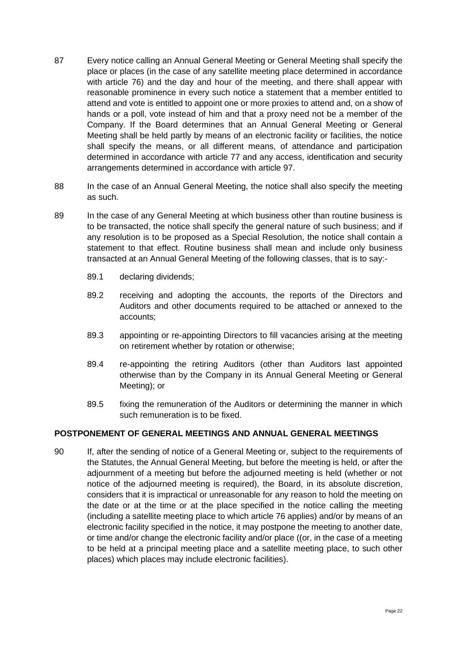- 87 Every notice calling an Annual General Meeting or General Meeting shall specify the place or places (in the case of any satellite meeting place determined in accordance with article 76) and the day and hour of the meeting, and there shall appear with reasonable prominence in every such notice a statement that a member entitled to attend and vote is entitled to appoint one or more proxies to attend and, on a show of hands or a poll, vote instead of him and that a proxy need not be a member of the Company. If the Board determines that an Annual General Meeting or General Meeting shall be held partly by means of an electronic facility or facilities, the notice shall specify the means, or all different means, of attendance and participation determined in accordance with article 77 and any access, identification and security arrangements determined in accordance with article 97.
- 88 In the case of an Annual General Meeting, the notice shall also specify the meeting as such.
- 89 In the case of any General Meeting at which business other than routine business is to be transacted, the notice shall specify the general nature of such business; and if any resolution is to be proposed as a Special Resolution, the notice shall contain a statement to that effect. Routine business shall mean and include only business transacted at an Annual General Meeting of the following classes, that is to say:-
	- 89.1 declaring dividends;
	- 89.2 receiving and adopting the accounts, the reports of the Directors and Auditors and other documents required to be attached or annexed to the accounts;
	- 89.3 appointing or re-appointing Directors to fill vacancies arising at the meeting on retirement whether by rotation or otherwise;
	- 89.4 re-appointing the retiring Auditors (other than Auditors last appointed otherwise than by the Company in its Annual General Meeting or General Meeting); or
	- 89.5 fixing the remuneration of the Auditors or determining the manner in which such remuneration is to be fixed.

#### **POSTPONEMENT OF GENERAL MEETINGS AND ANNUAL GENERAL MEETINGS**

90 If, after the sending of notice of a General Meeting or, subject to the requirements of the Statutes, the Annual General Meeting, but before the meeting is held, or after the adjournment of a meeting but before the adjourned meeting is held (whether or not notice of the adjourned meeting is required), the Board, in its absolute discretion, considers that it is impractical or unreasonable for any reason to hold the meeting on the date or at the time or at the place specified in the notice calling the meeting (including a satellite meeting place to which article 76 applies) and/or by means of an electronic facility specified in the notice, it may postpone the meeting to another date, or time and/or change the electronic facility and/or place ((or, in the case of a meeting to be held at a principal meeting place and a satellite meeting place, to such other places) which places may include electronic facilities).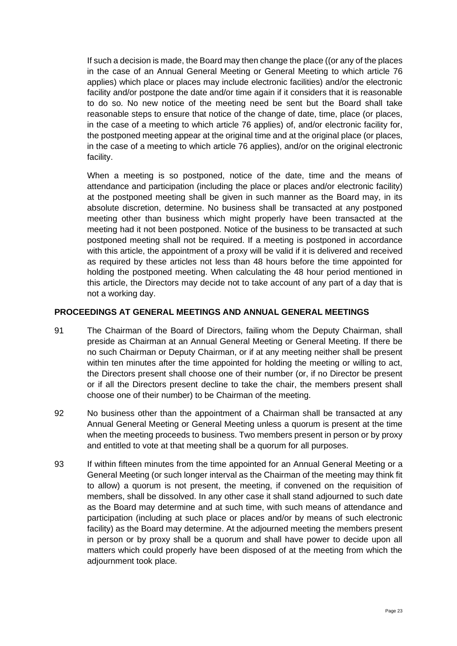If such a decision is made, the Board may then change the place ((or any of the places in the case of an Annual General Meeting or General Meeting to which article 76 applies) which place or places may include electronic facilities) and/or the electronic facility and/or postpone the date and/or time again if it considers that it is reasonable to do so. No new notice of the meeting need be sent but the Board shall take reasonable steps to ensure that notice of the change of date, time, place (or places, in the case of a meeting to which article 76 applies) of, and/or electronic facility for, the postponed meeting appear at the original time and at the original place (or places, in the case of a meeting to which article 76 applies), and/or on the original electronic facility.

When a meeting is so postponed, notice of the date, time and the means of attendance and participation (including the place or places and/or electronic facility) at the postponed meeting shall be given in such manner as the Board may, in its absolute discretion, determine. No business shall be transacted at any postponed meeting other than business which might properly have been transacted at the meeting had it not been postponed. Notice of the business to be transacted at such postponed meeting shall not be required. If a meeting is postponed in accordance with this article, the appointment of a proxy will be valid if it is delivered and received as required by these articles not less than 48 hours before the time appointed for holding the postponed meeting. When calculating the 48 hour period mentioned in this article, the Directors may decide not to take account of any part of a day that is not a working day.

#### **PROCEEDINGS AT GENERAL MEETINGS AND ANNUAL GENERAL MEETINGS**

- 91 The Chairman of the Board of Directors, failing whom the Deputy Chairman, shall preside as Chairman at an Annual General Meeting or General Meeting. If there be no such Chairman or Deputy Chairman, or if at any meeting neither shall be present within ten minutes after the time appointed for holding the meeting or willing to act, the Directors present shall choose one of their number (or, if no Director be present or if all the Directors present decline to take the chair, the members present shall choose one of their number) to be Chairman of the meeting.
- 92 No business other than the appointment of a Chairman shall be transacted at any Annual General Meeting or General Meeting unless a quorum is present at the time when the meeting proceeds to business. Two members present in person or by proxy and entitled to vote at that meeting shall be a quorum for all purposes.
- 93 If within fifteen minutes from the time appointed for an Annual General Meeting or a General Meeting (or such longer interval as the Chairman of the meeting may think fit to allow) a quorum is not present, the meeting, if convened on the requisition of members, shall be dissolved. In any other case it shall stand adjourned to such date as the Board may determine and at such time, with such means of attendance and participation (including at such place or places and/or by means of such electronic facility) as the Board may determine. At the adjourned meeting the members present in person or by proxy shall be a quorum and shall have power to decide upon all matters which could properly have been disposed of at the meeting from which the adjournment took place.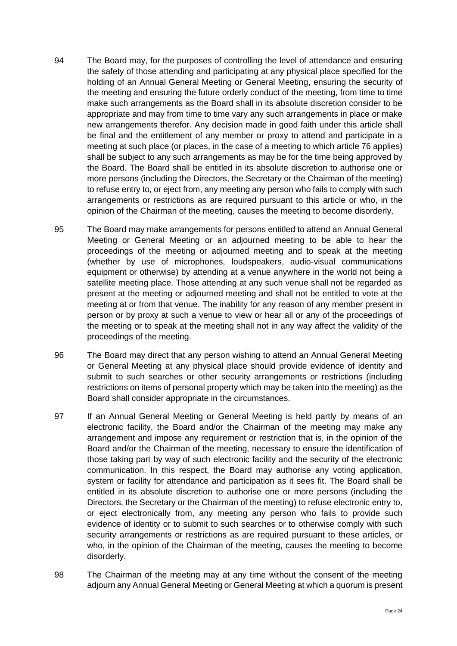- 94 The Board may, for the purposes of controlling the level of attendance and ensuring the safety of those attending and participating at any physical place specified for the holding of an Annual General Meeting or General Meeting, ensuring the security of the meeting and ensuring the future orderly conduct of the meeting, from time to time make such arrangements as the Board shall in its absolute discretion consider to be appropriate and may from time to time vary any such arrangements in place or make new arrangements therefor. Any decision made in good faith under this article shall be final and the entitlement of any member or proxy to attend and participate in a meeting at such place (or places, in the case of a meeting to which article 76 applies) shall be subject to any such arrangements as may be for the time being approved by the Board. The Board shall be entitled in its absolute discretion to authorise one or more persons (including the Directors, the Secretary or the Chairman of the meeting) to refuse entry to, or eject from, any meeting any person who fails to comply with such arrangements or restrictions as are required pursuant to this article or who, in the opinion of the Chairman of the meeting, causes the meeting to become disorderly.
- 95 The Board may make arrangements for persons entitled to attend an Annual General Meeting or General Meeting or an adjourned meeting to be able to hear the proceedings of the meeting or adjourned meeting and to speak at the meeting (whether by use of microphones, loudspeakers, audio-visual communications equipment or otherwise) by attending at a venue anywhere in the world not being a satellite meeting place. Those attending at any such venue shall not be regarded as present at the meeting or adjourned meeting and shall not be entitled to vote at the meeting at or from that venue. The inability for any reason of any member present in person or by proxy at such a venue to view or hear all or any of the proceedings of the meeting or to speak at the meeting shall not in any way affect the validity of the proceedings of the meeting.
- 96 The Board may direct that any person wishing to attend an Annual General Meeting or General Meeting at any physical place should provide evidence of identity and submit to such searches or other security arrangements or restrictions (including restrictions on items of personal property which may be taken into the meeting) as the Board shall consider appropriate in the circumstances.
- 97 If an Annual General Meeting or General Meeting is held partly by means of an electronic facility, the Board and/or the Chairman of the meeting may make any arrangement and impose any requirement or restriction that is, in the opinion of the Board and/or the Chairman of the meeting, necessary to ensure the identification of those taking part by way of such electronic facility and the security of the electronic communication. In this respect, the Board may authorise any voting application, system or facility for attendance and participation as it sees fit. The Board shall be entitled in its absolute discretion to authorise one or more persons (including the Directors, the Secretary or the Chairman of the meeting) to refuse electronic entry to, or eject electronically from, any meeting any person who fails to provide such evidence of identity or to submit to such searches or to otherwise comply with such security arrangements or restrictions as are required pursuant to these articles, or who, in the opinion of the Chairman of the meeting, causes the meeting to become disorderly.
- 98 The Chairman of the meeting may at any time without the consent of the meeting adjourn any Annual General Meeting or General Meeting at which a quorum is present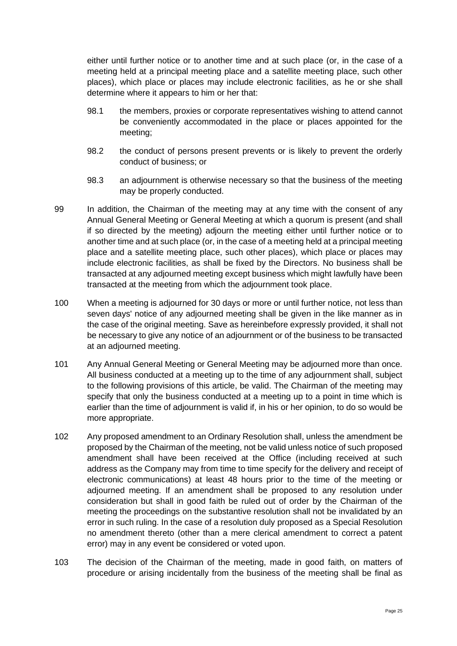either until further notice or to another time and at such place (or, in the case of a meeting held at a principal meeting place and a satellite meeting place, such other places), which place or places may include electronic facilities, as he or she shall determine where it appears to him or her that:

- 98.1 the members, proxies or corporate representatives wishing to attend cannot be conveniently accommodated in the place or places appointed for the meeting;
- 98.2 the conduct of persons present prevents or is likely to prevent the orderly conduct of business; or
- 98.3 an adjournment is otherwise necessary so that the business of the meeting may be properly conducted.
- 99 In addition, the Chairman of the meeting may at any time with the consent of any Annual General Meeting or General Meeting at which a quorum is present (and shall if so directed by the meeting) adjourn the meeting either until further notice or to another time and at such place (or, in the case of a meeting held at a principal meeting place and a satellite meeting place, such other places), which place or places may include electronic facilities, as shall be fixed by the Directors. No business shall be transacted at any adjourned meeting except business which might lawfully have been transacted at the meeting from which the adjournment took place.
- 100 When a meeting is adjourned for 30 days or more or until further notice, not less than seven days' notice of any adjourned meeting shall be given in the like manner as in the case of the original meeting. Save as hereinbefore expressly provided, it shall not be necessary to give any notice of an adjournment or of the business to be transacted at an adjourned meeting.
- 101 Any Annual General Meeting or General Meeting may be adjourned more than once. All business conducted at a meeting up to the time of any adjournment shall, subject to the following provisions of this article, be valid. The Chairman of the meeting may specify that only the business conducted at a meeting up to a point in time which is earlier than the time of adjournment is valid if, in his or her opinion, to do so would be more appropriate.
- 102 Any proposed amendment to an Ordinary Resolution shall, unless the amendment be proposed by the Chairman of the meeting, not be valid unless notice of such proposed amendment shall have been received at the Office (including received at such address as the Company may from time to time specify for the delivery and receipt of electronic communications) at least 48 hours prior to the time of the meeting or adjourned meeting. If an amendment shall be proposed to any resolution under consideration but shall in good faith be ruled out of order by the Chairman of the meeting the proceedings on the substantive resolution shall not be invalidated by an error in such ruling. In the case of a resolution duly proposed as a Special Resolution no amendment thereto (other than a mere clerical amendment to correct a patent error) may in any event be considered or voted upon.
- 103 The decision of the Chairman of the meeting, made in good faith, on matters of procedure or arising incidentally from the business of the meeting shall be final as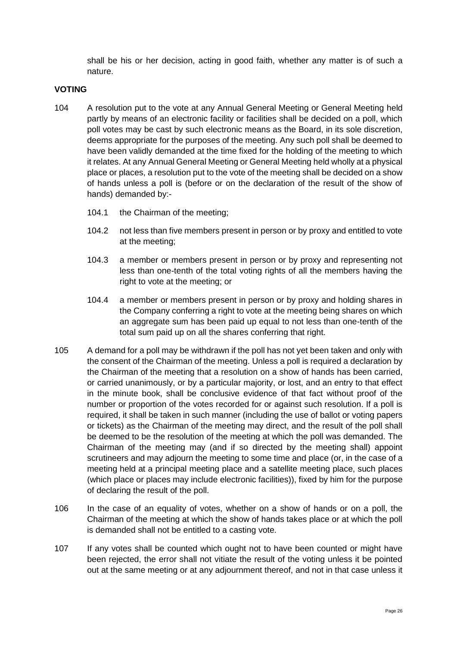shall be his or her decision, acting in good faith, whether any matter is of such a nature.

#### **VOTING**

- 104 A resolution put to the vote at any Annual General Meeting or General Meeting held partly by means of an electronic facility or facilities shall be decided on a poll, which poll votes may be cast by such electronic means as the Board, in its sole discretion, deems appropriate for the purposes of the meeting. Any such poll shall be deemed to have been validly demanded at the time fixed for the holding of the meeting to which it relates. At any Annual General Meeting or General Meeting held wholly at a physical place or places, a resolution put to the vote of the meeting shall be decided on a show of hands unless a poll is (before or on the declaration of the result of the show of hands) demanded by:-
	- 104.1 the Chairman of the meeting;
	- 104.2 not less than five members present in person or by proxy and entitled to vote at the meeting;
	- 104.3 a member or members present in person or by proxy and representing not less than one-tenth of the total voting rights of all the members having the right to vote at the meeting; or
	- 104.4 a member or members present in person or by proxy and holding shares in the Company conferring a right to vote at the meeting being shares on which an aggregate sum has been paid up equal to not less than one-tenth of the total sum paid up on all the shares conferring that right.
- 105 A demand for a poll may be withdrawn if the poll has not yet been taken and only with the consent of the Chairman of the meeting. Unless a poll is required a declaration by the Chairman of the meeting that a resolution on a show of hands has been carried, or carried unanimously, or by a particular majority, or lost, and an entry to that effect in the minute book, shall be conclusive evidence of that fact without proof of the number or proportion of the votes recorded for or against such resolution. If a poll is required, it shall be taken in such manner (including the use of ballot or voting papers or tickets) as the Chairman of the meeting may direct, and the result of the poll shall be deemed to be the resolution of the meeting at which the poll was demanded. The Chairman of the meeting may (and if so directed by the meeting shall) appoint scrutineers and may adjourn the meeting to some time and place (or, in the case of a meeting held at a principal meeting place and a satellite meeting place, such places (which place or places may include electronic facilities)), fixed by him for the purpose of declaring the result of the poll.
- 106 In the case of an equality of votes, whether on a show of hands or on a poll, the Chairman of the meeting at which the show of hands takes place or at which the poll is demanded shall not be entitled to a casting vote.
- 107 If any votes shall be counted which ought not to have been counted or might have been rejected, the error shall not vitiate the result of the voting unless it be pointed out at the same meeting or at any adjournment thereof, and not in that case unless it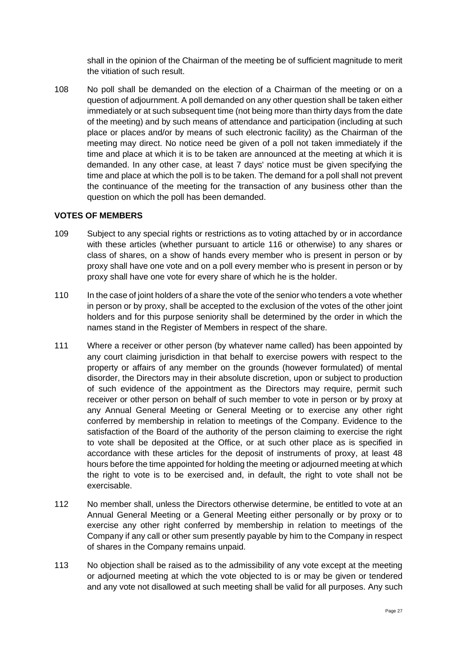shall in the opinion of the Chairman of the meeting be of sufficient magnitude to merit the vitiation of such result.

108 No poll shall be demanded on the election of a Chairman of the meeting or on a question of adjournment. A poll demanded on any other question shall be taken either immediately or at such subsequent time (not being more than thirty days from the date of the meeting) and by such means of attendance and participation (including at such place or places and/or by means of such electronic facility) as the Chairman of the meeting may direct. No notice need be given of a poll not taken immediately if the time and place at which it is to be taken are announced at the meeting at which it is demanded. In any other case, at least 7 days' notice must be given specifying the time and place at which the poll is to be taken. The demand for a poll shall not prevent the continuance of the meeting for the transaction of any business other than the question on which the poll has been demanded.

#### **VOTES OF MEMBERS**

- 109 Subject to any special rights or restrictions as to voting attached by or in accordance with these articles (whether pursuant to article [116](#page-27-1) or otherwise) to any shares or class of shares, on a show of hands every member who is present in person or by proxy shall have one vote and on a poll every member who is present in person or by proxy shall have one vote for every share of which he is the holder.
- 110 In the case of joint holders of a share the vote of the senior who tenders a vote whether in person or by proxy, shall be accepted to the exclusion of the votes of the other joint holders and for this purpose seniority shall be determined by the order in which the names stand in the Register of Members in respect of the share.
- 111 Where a receiver or other person (by whatever name called) has been appointed by any court claiming jurisdiction in that behalf to exercise powers with respect to the property or affairs of any member on the grounds (however formulated) of mental disorder, the Directors may in their absolute discretion, upon or subject to production of such evidence of the appointment as the Directors may require, permit such receiver or other person on behalf of such member to vote in person or by proxy at any Annual General Meeting or General Meeting or to exercise any other right conferred by membership in relation to meetings of the Company. Evidence to the satisfaction of the Board of the authority of the person claiming to exercise the right to vote shall be deposited at the Office, or at such other place as is specified in accordance with these articles for the deposit of instruments of proxy, at least 48 hours before the time appointed for holding the meeting or adjourned meeting at which the right to vote is to be exercised and, in default, the right to vote shall not be exercisable.
- 112 No member shall, unless the Directors otherwise determine, be entitled to vote at an Annual General Meeting or a General Meeting either personally or by proxy or to exercise any other right conferred by membership in relation to meetings of the Company if any call or other sum presently payable by him to the Company in respect of shares in the Company remains unpaid.
- 113 No objection shall be raised as to the admissibility of any vote except at the meeting or adjourned meeting at which the vote objected to is or may be given or tendered and any vote not disallowed at such meeting shall be valid for all purposes. Any such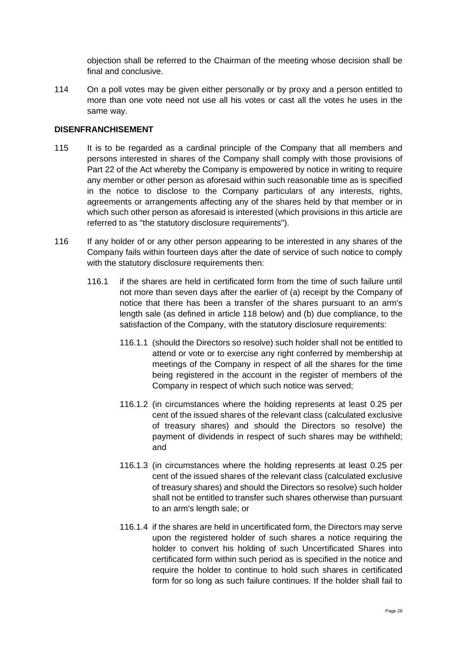objection shall be referred to the Chairman of the meeting whose decision shall be final and conclusive.

114 On a poll votes may be given either personally or by proxy and a person entitled to more than one vote need not use all his votes or cast all the votes he uses in the same way.

#### **DISENFRANCHISEMENT**

- <span id="page-27-0"></span>115 It is to be regarded as a cardinal principle of the Company that all members and persons interested in shares of the Company shall comply with those provisions of Part 22 of the Act whereby the Company is empowered by notice in writing to require any member or other person as aforesaid within such reasonable time as is specified in the notice to disclose to the Company particulars of any interests, rights, agreements or arrangements affecting any of the shares held by that member or in which such other person as aforesaid is interested (which provisions in this article are referred to as "the statutory disclosure requirements").
- <span id="page-27-3"></span><span id="page-27-2"></span><span id="page-27-1"></span>116 If any holder of or any other person appearing to be interested in any shares of the Company fails within fourteen days after the date of service of such notice to comply with the statutory disclosure requirements then:
	- 116.1 if the shares are held in certificated form from the time of such failure until not more than seven days after the earlier of (a) receipt by the Company of notice that there has been a transfer of the shares pursuant to an arm's length sale (as defined in article [118](#page-28-1) below) and (b) due compliance, to the satisfaction of the Company, with the statutory disclosure requirements:
		- 116.1.1 (should the Directors so resolve) such holder shall not be entitled to attend or vote or to exercise any right conferred by membership at meetings of the Company in respect of all the shares for the time being registered in the account in the register of members of the Company in respect of which such notice was served;
		- 116.1.2 (in circumstances where the holding represents at least 0.25 per cent of the issued shares of the relevant class (calculated exclusive of treasury shares) and should the Directors so resolve) the payment of dividends in respect of such shares may be withheld; and
		- 116.1.3 (in circumstances where the holding represents at least 0.25 per cent of the issued shares of the relevant class (calculated exclusive of treasury shares) and should the Directors so resolve) such holder shall not be entitled to transfer such shares otherwise than pursuant to an arm's length sale; or
		- 116.1.4 if the shares are held in uncertificated form, the Directors may serve upon the registered holder of such shares a notice requiring the holder to convert his holding of such Uncertificated Shares into certificated form within such period as is specified in the notice and require the holder to continue to hold such shares in certificated form for so long as such failure continues. If the holder shall fail to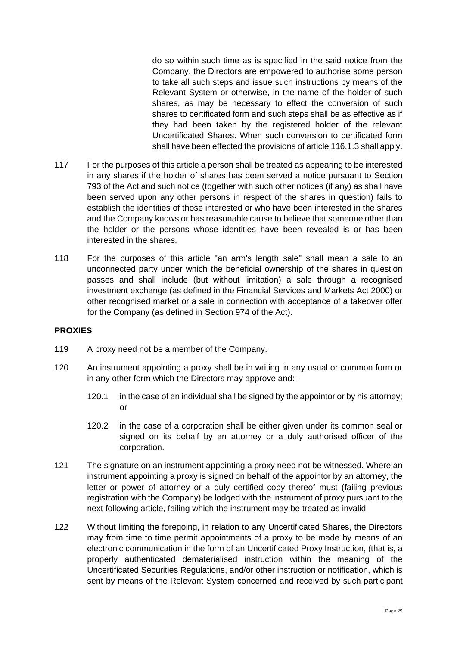do so within such time as is specified in the said notice from the Company, the Directors are empowered to authorise some person to take all such steps and issue such instructions by means of the Relevant System or otherwise, in the name of the holder of such shares, as may be necessary to effect the conversion of such shares to certificated form and such steps shall be as effective as if they had been taken by the registered holder of the relevant Uncertificated Shares. When such conversion to certificated form shall have been effected the provisions of article [116.1.3](#page-27-2) shall apply.

- 117 For the purposes of this article a person shall be treated as appearing to be interested in any shares if the holder of shares has been served a notice pursuant to Section 793 of the Act and such notice (together with such other notices (if any) as shall have been served upon any other persons in respect of the shares in question) fails to establish the identities of those interested or who have been interested in the shares and the Company knows or has reasonable cause to believe that someone other than the holder or the persons whose identities have been revealed is or has been interested in the shares.
- <span id="page-28-1"></span>118 For the purposes of this article "an arm's length sale" shall mean a sale to an unconnected party under which the beneficial ownership of the shares in question passes and shall include (but without limitation) a sale through a recognised investment exchange (as defined in the Financial Services and Markets Act 2000) or other recognised market or a sale in connection with acceptance of a takeover offer for the Company (as defined in Section 974 of the Act).

#### **PROXIES**

- 119 A proxy need not be a member of the Company.
- 120 An instrument appointing a proxy shall be in writing in any usual or common form or in any other form which the Directors may approve and:-
	- 120.1 in the case of an individual shall be signed by the appointor or by his attorney; or
	- 120.2 in the case of a corporation shall be either given under its common seal or signed on its behalf by an attorney or a duly authorised officer of the corporation.
- 121 The signature on an instrument appointing a proxy need not be witnessed. Where an instrument appointing a proxy is signed on behalf of the appointor by an attorney, the letter or power of attorney or a duly certified copy thereof must (failing previous registration with the Company) be lodged with the instrument of proxy pursuant to the next following article, failing which the instrument may be treated as invalid.
- <span id="page-28-0"></span>122 Without limiting the foregoing, in relation to any Uncertificated Shares, the Directors may from time to time permit appointments of a proxy to be made by means of an electronic communication in the form of an Uncertificated Proxy Instruction, (that is, a properly authenticated dematerialised instruction within the meaning of the Uncertificated Securities Regulations, and/or other instruction or notification, which is sent by means of the Relevant System concerned and received by such participant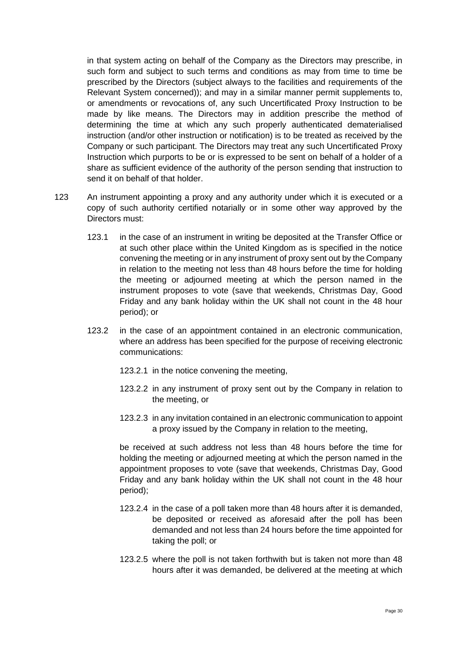in that system acting on behalf of the Company as the Directors may prescribe, in such form and subject to such terms and conditions as may from time to time be prescribed by the Directors (subject always to the facilities and requirements of the Relevant System concerned)); and may in a similar manner permit supplements to, or amendments or revocations of, any such Uncertificated Proxy Instruction to be made by like means. The Directors may in addition prescribe the method of determining the time at which any such properly authenticated dematerialised instruction (and/or other instruction or notification) is to be treated as received by the Company or such participant. The Directors may treat any such Uncertificated Proxy Instruction which purports to be or is expressed to be sent on behalf of a holder of a share as sufficient evidence of the authority of the person sending that instruction to send it on behalf of that holder.

- <span id="page-29-1"></span><span id="page-29-0"></span>123 An instrument appointing a proxy and any authority under which it is executed or a copy of such authority certified notarially or in some other way approved by the Directors must:
	- 123.1 in the case of an instrument in writing be deposited at the Transfer Office or at such other place within the United Kingdom as is specified in the notice convening the meeting or in any instrument of proxy sent out by the Company in relation to the meeting not less than 48 hours before the time for holding the meeting or adjourned meeting at which the person named in the instrument proposes to vote (save that weekends, Christmas Day, Good Friday and any bank holiday within the UK shall not count in the 48 hour period); or
	- 123.2 in the case of an appointment contained in an electronic communication, where an address has been specified for the purpose of receiving electronic communications:
		- 123.2.1 in the notice convening the meeting,
		- 123.2.2 in any instrument of proxy sent out by the Company in relation to the meeting, or
		- 123.2.3 in any invitation contained in an electronic communication to appoint a proxy issued by the Company in relation to the meeting,

be received at such address not less than 48 hours before the time for holding the meeting or adjourned meeting at which the person named in the appointment proposes to vote (save that weekends, Christmas Day, Good Friday and any bank holiday within the UK shall not count in the 48 hour period);

- 123.2.4 in the case of a poll taken more than 48 hours after it is demanded, be deposited or received as aforesaid after the poll has been demanded and not less than 24 hours before the time appointed for taking the poll; or
- 123.2.5 where the poll is not taken forthwith but is taken not more than 48 hours after it was demanded, be delivered at the meeting at which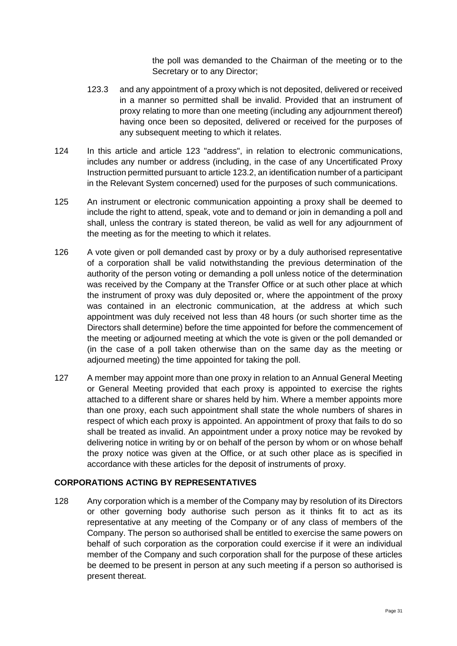the poll was demanded to the Chairman of the meeting or to the Secretary or to any Director;

- 123.3 and any appointment of a proxy which is not deposited, delivered or received in a manner so permitted shall be invalid. Provided that an instrument of proxy relating to more than one meeting (including any adjournment thereof) having once been so deposited, delivered or received for the purposes of any subsequent meeting to which it relates.
- 124 In this article and article [123](#page-29-0) "address", in relation to electronic communications, includes any number or address (including, in the case of any Uncertificated Proxy Instruction permitted pursuant to article [123.2,](#page-29-1) an identification number of a participant in the Relevant System concerned) used for the purposes of such communications.
- 125 An instrument or electronic communication appointing a proxy shall be deemed to include the right to attend, speak, vote and to demand or join in demanding a poll and shall, unless the contrary is stated thereon, be valid as well for any adjournment of the meeting as for the meeting to which it relates.
- 126 A vote given or poll demanded cast by proxy or by a duly authorised representative of a corporation shall be valid notwithstanding the previous determination of the authority of the person voting or demanding a poll unless notice of the determination was received by the Company at the Transfer Office or at such other place at which the instrument of proxy was duly deposited or, where the appointment of the proxy was contained in an electronic communication, at the address at which such appointment was duly received not less than 48 hours (or such shorter time as the Directors shall determine) before the time appointed for before the commencement of the meeting or adjourned meeting at which the vote is given or the poll demanded or (in the case of a poll taken otherwise than on the same day as the meeting or adjourned meeting) the time appointed for taking the poll.
- 127 A member may appoint more than one proxy in relation to an Annual General Meeting or General Meeting provided that each proxy is appointed to exercise the rights attached to a different share or shares held by him. Where a member appoints more than one proxy, each such appointment shall state the whole numbers of shares in respect of which each proxy is appointed. An appointment of proxy that fails to do so shall be treated as invalid. An appointment under a proxy notice may be revoked by delivering notice in writing by or on behalf of the person by whom or on whose behalf the proxy notice was given at the Office, or at such other place as is specified in accordance with these articles for the deposit of instruments of proxy.

#### **CORPORATIONS ACTING BY REPRESENTATIVES**

128 Any corporation which is a member of the Company may by resolution of its Directors or other governing body authorise such person as it thinks fit to act as its representative at any meeting of the Company or of any class of members of the Company. The person so authorised shall be entitled to exercise the same powers on behalf of such corporation as the corporation could exercise if it were an individual member of the Company and such corporation shall for the purpose of these articles be deemed to be present in person at any such meeting if a person so authorised is present thereat.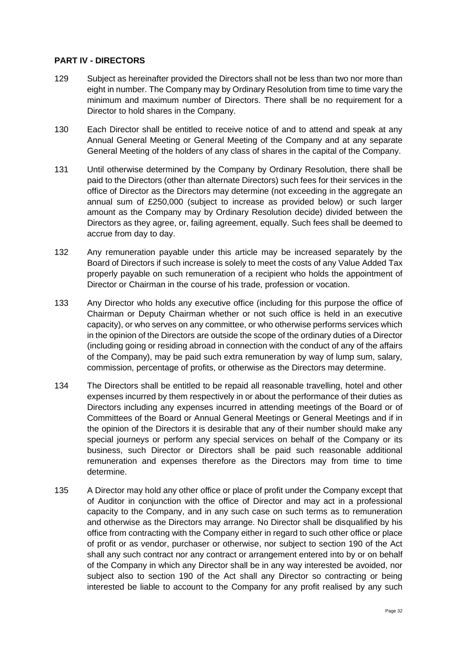#### **PART IV - DIRECTORS**

- 129 Subject as hereinafter provided the Directors shall not be less than two nor more than eight in number. The Company may by Ordinary Resolution from time to time vary the minimum and maximum number of Directors. There shall be no requirement for a Director to hold shares in the Company.
- 130 Each Director shall be entitled to receive notice of and to attend and speak at any Annual General Meeting or General Meeting of the Company and at any separate General Meeting of the holders of any class of shares in the capital of the Company.
- 131 Until otherwise determined by the Company by Ordinary Resolution, there shall be paid to the Directors (other than alternate Directors) such fees for their services in the office of Director as the Directors may determine (not exceeding in the aggregate an annual sum of £250,000 (subject to increase as provided below) or such larger amount as the Company may by Ordinary Resolution decide) divided between the Directors as they agree, or, failing agreement, equally. Such fees shall be deemed to accrue from day to day.
- 132 Any remuneration payable under this article may be increased separately by the Board of Directors if such increase is solely to meet the costs of any Value Added Tax properly payable on such remuneration of a recipient who holds the appointment of Director or Chairman in the course of his trade, profession or vocation.
- 133 Any Director who holds any executive office (including for this purpose the office of Chairman or Deputy Chairman whether or not such office is held in an executive capacity), or who serves on any committee, or who otherwise performs services which in the opinion of the Directors are outside the scope of the ordinary duties of a Director (including going or residing abroad in connection with the conduct of any of the affairs of the Company), may be paid such extra remuneration by way of lump sum, salary, commission, percentage of profits, or otherwise as the Directors may determine.
- 134 The Directors shall be entitled to be repaid all reasonable travelling, hotel and other expenses incurred by them respectively in or about the performance of their duties as Directors including any expenses incurred in attending meetings of the Board or of Committees of the Board or Annual General Meetings or General Meetings and if in the opinion of the Directors it is desirable that any of their number should make any special journeys or perform any special services on behalf of the Company or its business, such Director or Directors shall be paid such reasonable additional remuneration and expenses therefore as the Directors may from time to time determine.
- 135 A Director may hold any other office or place of profit under the Company except that of Auditor in conjunction with the office of Director and may act in a professional capacity to the Company, and in any such case on such terms as to remuneration and otherwise as the Directors may arrange. No Director shall be disqualified by his office from contracting with the Company either in regard to such other office or place of profit or as vendor, purchaser or otherwise, nor subject to section 190 of the Act shall any such contract nor any contract or arrangement entered into by or on behalf of the Company in which any Director shall be in any way interested be avoided, nor subject also to section 190 of the Act shall any Director so contracting or being interested be liable to account to the Company for any profit realised by any such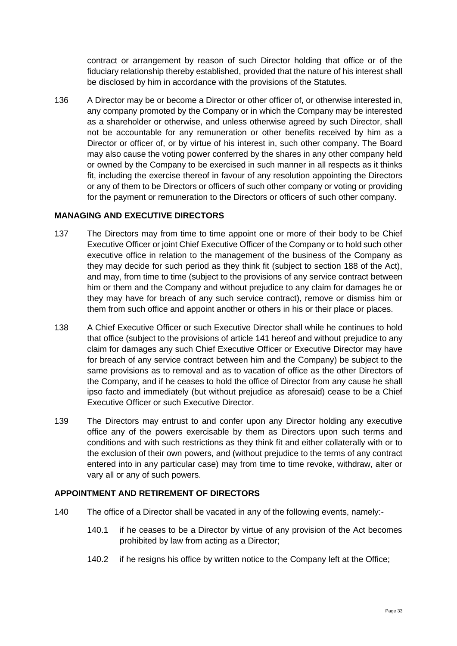contract or arrangement by reason of such Director holding that office or of the fiduciary relationship thereby established, provided that the nature of his interest shall be disclosed by him in accordance with the provisions of the Statutes.

136 A Director may be or become a Director or other officer of, or otherwise interested in, any company promoted by the Company or in which the Company may be interested as a shareholder or otherwise, and unless otherwise agreed by such Director, shall not be accountable for any remuneration or other benefits received by him as a Director or officer of, or by virtue of his interest in, such other company. The Board may also cause the voting power conferred by the shares in any other company held or owned by the Company to be exercised in such manner in all respects as it thinks fit, including the exercise thereof in favour of any resolution appointing the Directors or any of them to be Directors or officers of such other company or voting or providing for the payment or remuneration to the Directors or officers of such other company.

### **MANAGING AND EXECUTIVE DIRECTORS**

- 137 The Directors may from time to time appoint one or more of their body to be Chief Executive Officer or joint Chief Executive Officer of the Company or to hold such other executive office in relation to the management of the business of the Company as they may decide for such period as they think fit (subject to section 188 of the Act), and may, from time to time (subject to the provisions of any service contract between him or them and the Company and without prejudice to any claim for damages he or they may have for breach of any such service contract), remove or dismiss him or them from such office and appoint another or others in his or their place or places.
- 138 A Chief Executive Officer or such Executive Director shall while he continues to hold that office (subject to the provisions of article [141](#page-33-0) hereof and without prejudice to any claim for damages any such Chief Executive Officer or Executive Director may have for breach of any service contract between him and the Company) be subject to the same provisions as to removal and as to vacation of office as the other Directors of the Company, and if he ceases to hold the office of Director from any cause he shall ipso facto and immediately (but without prejudice as aforesaid) cease to be a Chief Executive Officer or such Executive Director.
- 139 The Directors may entrust to and confer upon any Director holding any executive office any of the powers exercisable by them as Directors upon such terms and conditions and with such restrictions as they think fit and either collaterally with or to the exclusion of their own powers, and (without prejudice to the terms of any contract entered into in any particular case) may from time to time revoke, withdraw, alter or vary all or any of such powers.

### **APPOINTMENT AND RETIREMENT OF DIRECTORS**

- 140 The office of a Director shall be vacated in any of the following events, namely:-
	- 140.1 if he ceases to be a Director by virtue of any provision of the Act becomes prohibited by law from acting as a Director;
	- 140.2 if he resigns his office by written notice to the Company left at the Office: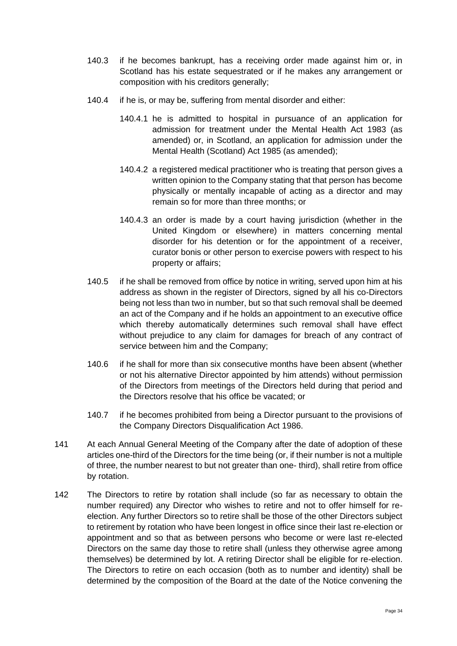- 140.3 if he becomes bankrupt, has a receiving order made against him or, in Scotland has his estate sequestrated or if he makes any arrangement or composition with his creditors generally;
- 140.4 if he is, or may be, suffering from mental disorder and either:
	- 140.4.1 he is admitted to hospital in pursuance of an application for admission for treatment under the Mental Health Act 1983 (as amended) or, in Scotland, an application for admission under the Mental Health (Scotland) Act 1985 (as amended);
	- 140.4.2 a registered medical practitioner who is treating that person gives a written opinion to the Company stating that that person has become physically or mentally incapable of acting as a director and may remain so for more than three months; or
	- 140.4.3 an order is made by a court having jurisdiction (whether in the United Kingdom or elsewhere) in matters concerning mental disorder for his detention or for the appointment of a receiver, curator bonis or other person to exercise powers with respect to his property or affairs;
- 140.5 if he shall be removed from office by notice in writing, served upon him at his address as shown in the register of Directors, signed by all his co-Directors being not less than two in number, but so that such removal shall be deemed an act of the Company and if he holds an appointment to an executive office which thereby automatically determines such removal shall have effect without prejudice to any claim for damages for breach of any contract of service between him and the Company;
- 140.6 if he shall for more than six consecutive months have been absent (whether or not his alternative Director appointed by him attends) without permission of the Directors from meetings of the Directors held during that period and the Directors resolve that his office be vacated; or
- 140.7 if he becomes prohibited from being a Director pursuant to the provisions of the Company Directors Disqualification Act 1986.
- <span id="page-33-0"></span>141 At each Annual General Meeting of the Company after the date of adoption of these articles one-third of the Directors for the time being (or, if their number is not a multiple of three, the number nearest to but not greater than one- third), shall retire from office by rotation.
- 142 The Directors to retire by rotation shall include (so far as necessary to obtain the number required) any Director who wishes to retire and not to offer himself for reelection. Any further Directors so to retire shall be those of the other Directors subject to retirement by rotation who have been longest in office since their last re-election or appointment and so that as between persons who become or were last re-elected Directors on the same day those to retire shall (unless they otherwise agree among themselves) be determined by lot. A retiring Director shall be eligible for re-election. The Directors to retire on each occasion (both as to number and identity) shall be determined by the composition of the Board at the date of the Notice convening the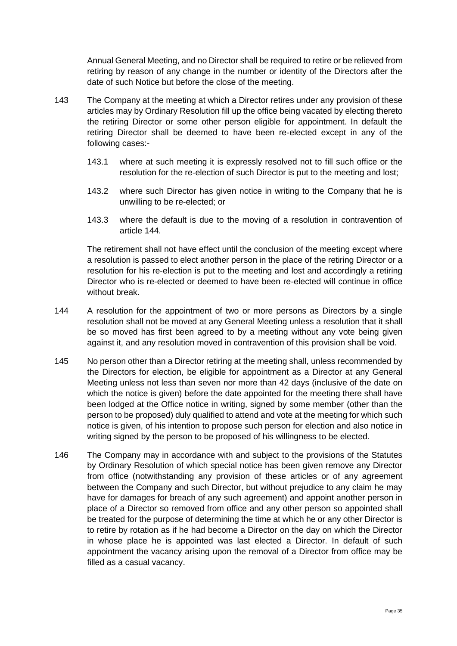Annual General Meeting, and no Director shall be required to retire or be relieved from retiring by reason of any change in the number or identity of the Directors after the date of such Notice but before the close of the meeting.

- 143 The Company at the meeting at which a Director retires under any provision of these articles may by Ordinary Resolution fill up the office being vacated by electing thereto the retiring Director or some other person eligible for appointment. In default the retiring Director shall be deemed to have been re-elected except in any of the following cases:-
	- 143.1 where at such meeting it is expressly resolved not to fill such office or the resolution for the re-election of such Director is put to the meeting and lost;
	- 143.2 where such Director has given notice in writing to the Company that he is unwilling to be re-elected; or
	- 143.3 where the default is due to the moving of a resolution in contravention of article [144.](#page-34-0)

The retirement shall not have effect until the conclusion of the meeting except where a resolution is passed to elect another person in the place of the retiring Director or a resolution for his re-election is put to the meeting and lost and accordingly a retiring Director who is re-elected or deemed to have been re-elected will continue in office without break.

- <span id="page-34-0"></span>144 A resolution for the appointment of two or more persons as Directors by a single resolution shall not be moved at any General Meeting unless a resolution that it shall be so moved has first been agreed to by a meeting without any vote being given against it, and any resolution moved in contravention of this provision shall be void.
- 145 No person other than a Director retiring at the meeting shall, unless recommended by the Directors for election, be eligible for appointment as a Director at any General Meeting unless not less than seven nor more than 42 days (inclusive of the date on which the notice is given) before the date appointed for the meeting there shall have been lodged at the Office notice in writing, signed by some member (other than the person to be proposed) duly qualified to attend and vote at the meeting for which such notice is given, of his intention to propose such person for election and also notice in writing signed by the person to be proposed of his willingness to be elected.
- 146 The Company may in accordance with and subject to the provisions of the Statutes by Ordinary Resolution of which special notice has been given remove any Director from office (notwithstanding any provision of these articles or of any agreement between the Company and such Director, but without prejudice to any claim he may have for damages for breach of any such agreement) and appoint another person in place of a Director so removed from office and any other person so appointed shall be treated for the purpose of determining the time at which he or any other Director is to retire by rotation as if he had become a Director on the day on which the Director in whose place he is appointed was last elected a Director. In default of such appointment the vacancy arising upon the removal of a Director from office may be filled as a casual vacancy.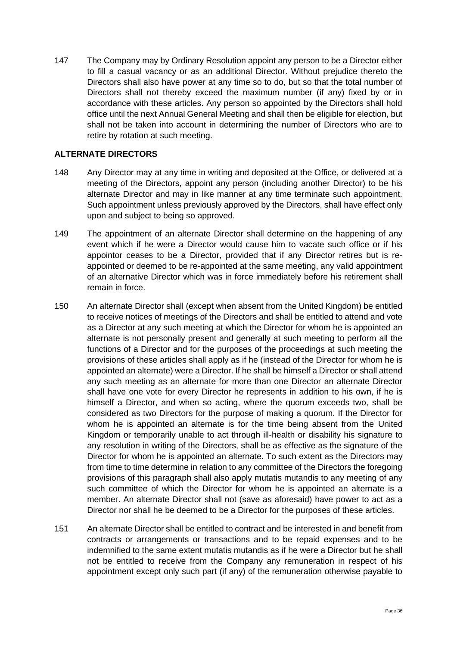147 The Company may by Ordinary Resolution appoint any person to be a Director either to fill a casual vacancy or as an additional Director. Without prejudice thereto the Directors shall also have power at any time so to do, but so that the total number of Directors shall not thereby exceed the maximum number (if any) fixed by or in accordance with these articles. Any person so appointed by the Directors shall hold office until the next Annual General Meeting and shall then be eligible for election, but shall not be taken into account in determining the number of Directors who are to retire by rotation at such meeting.

### **ALTERNATE DIRECTORS**

- 148 Any Director may at any time in writing and deposited at the Office, or delivered at a meeting of the Directors, appoint any person (including another Director) to be his alternate Director and may in like manner at any time terminate such appointment. Such appointment unless previously approved by the Directors, shall have effect only upon and subject to being so approved.
- 149 The appointment of an alternate Director shall determine on the happening of any event which if he were a Director would cause him to vacate such office or if his appointor ceases to be a Director, provided that if any Director retires but is reappointed or deemed to be re-appointed at the same meeting, any valid appointment of an alternative Director which was in force immediately before his retirement shall remain in force.
- 150 An alternate Director shall (except when absent from the United Kingdom) be entitled to receive notices of meetings of the Directors and shall be entitled to attend and vote as a Director at any such meeting at which the Director for whom he is appointed an alternate is not personally present and generally at such meeting to perform all the functions of a Director and for the purposes of the proceedings at such meeting the provisions of these articles shall apply as if he (instead of the Director for whom he is appointed an alternate) were a Director. If he shall be himself a Director or shall attend any such meeting as an alternate for more than one Director an alternate Director shall have one vote for every Director he represents in addition to his own, if he is himself a Director, and when so acting, where the quorum exceeds two, shall be considered as two Directors for the purpose of making a quorum. If the Director for whom he is appointed an alternate is for the time being absent from the United Kingdom or temporarily unable to act through ill-health or disability his signature to any resolution in writing of the Directors, shall be as effective as the signature of the Director for whom he is appointed an alternate. To such extent as the Directors may from time to time determine in relation to any committee of the Directors the foregoing provisions of this paragraph shall also apply mutatis mutandis to any meeting of any such committee of which the Director for whom he is appointed an alternate is a member. An alternate Director shall not (save as aforesaid) have power to act as a Director nor shall he be deemed to be a Director for the purposes of these articles.
- 151 An alternate Director shall be entitled to contract and be interested in and benefit from contracts or arrangements or transactions and to be repaid expenses and to be indemnified to the same extent mutatis mutandis as if he were a Director but he shall not be entitled to receive from the Company any remuneration in respect of his appointment except only such part (if any) of the remuneration otherwise payable to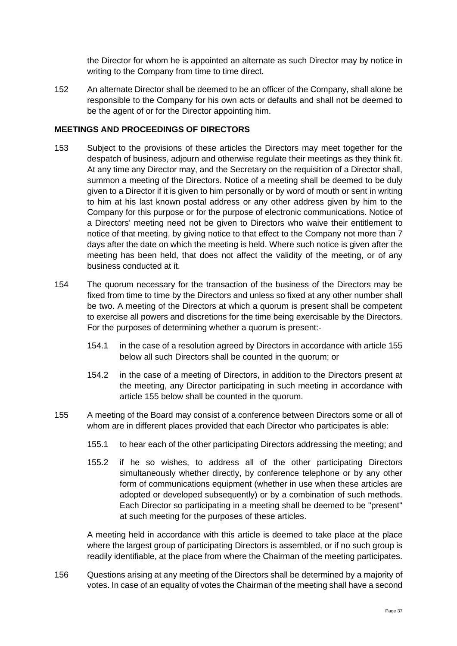the Director for whom he is appointed an alternate as such Director may by notice in writing to the Company from time to time direct.

152 An alternate Director shall be deemed to be an officer of the Company, shall alone be responsible to the Company for his own acts or defaults and shall not be deemed to be the agent of or for the Director appointing him.

#### **MEETINGS AND PROCEEDINGS OF DIRECTORS**

- 153 Subject to the provisions of these articles the Directors may meet together for the despatch of business, adjourn and otherwise regulate their meetings as they think fit. At any time any Director may, and the Secretary on the requisition of a Director shall, summon a meeting of the Directors. Notice of a meeting shall be deemed to be duly given to a Director if it is given to him personally or by word of mouth or sent in writing to him at his last known postal address or any other address given by him to the Company for this purpose or for the purpose of electronic communications. Notice of a Directors' meeting need not be given to Directors who waive their entitlement to notice of that meeting, by giving notice to that effect to the Company not more than 7 days after the date on which the meeting is held. Where such notice is given after the meeting has been held, that does not affect the validity of the meeting, or of any business conducted at it.
- 154 The quorum necessary for the transaction of the business of the Directors may be fixed from time to time by the Directors and unless so fixed at any other number shall be two. A meeting of the Directors at which a quorum is present shall be competent to exercise all powers and discretions for the time being exercisable by the Directors. For the purposes of determining whether a quorum is present:-
	- 154.1 in the case of a resolution agreed by Directors in accordance with article [155](#page-36-0) below all such Directors shall be counted in the quorum; or
	- 154.2 in the case of a meeting of Directors, in addition to the Directors present at the meeting, any Director participating in such meeting in accordance with article [155](#page-36-0) below shall be counted in the quorum.
- <span id="page-36-0"></span>155 A meeting of the Board may consist of a conference between Directors some or all of whom are in different places provided that each Director who participates is able:
	- 155.1 to hear each of the other participating Directors addressing the meeting; and
	- 155.2 if he so wishes, to address all of the other participating Directors simultaneously whether directly, by conference telephone or by any other form of communications equipment (whether in use when these articles are adopted or developed subsequently) or by a combination of such methods. Each Director so participating in a meeting shall be deemed to be "present" at such meeting for the purposes of these articles.

A meeting held in accordance with this article is deemed to take place at the place where the largest group of participating Directors is assembled, or if no such group is readily identifiable, at the place from where the Chairman of the meeting participates.

156 Questions arising at any meeting of the Directors shall be determined by a majority of votes. In case of an equality of votes the Chairman of the meeting shall have a second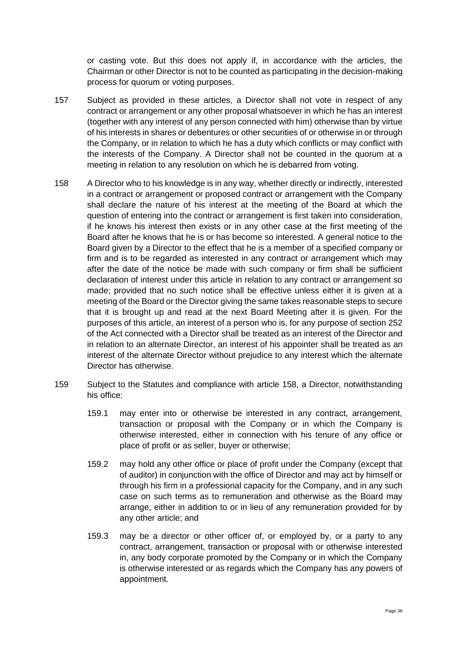or casting vote. But this does not apply if, in accordance with the articles, the Chairman or other Director is not to be counted as participating in the decision-making process for quorum or voting purposes.

- 157 Subject as provided in these articles, a Director shall not vote in respect of any contract or arrangement or any other proposal whatsoever in which he has an interest (together with any interest of any person connected with him) otherwise than by virtue of his interests in shares or debentures or other securities of or otherwise in or through the Company, or in relation to which he has a duty which conflicts or may conflict with the interests of the Company. A Director shall not be counted in the quorum at a meeting in relation to any resolution on which he is debarred from voting.
- <span id="page-37-0"></span>158 A Director who to his knowledge is in any way, whether directly or indirectly, interested in a contract or arrangement or proposed contract or arrangement with the Company shall declare the nature of his interest at the meeting of the Board at which the question of entering into the contract or arrangement is first taken into consideration, if he knows his interest then exists or in any other case at the first meeting of the Board after he knows that he is or has become so interested. A general notice to the Board given by a Director to the effect that he is a member of a specified company or firm and is to be regarded as interested in any contract or arrangement which may after the date of the notice be made with such company or firm shall be sufficient declaration of interest under this article in relation to any contract or arrangement so made; provided that no such notice shall be effective unless either it is given at a meeting of the Board or the Director giving the same takes reasonable steps to secure that it is brought up and read at the next Board Meeting after it is given. For the purposes of this article, an interest of a person who is, for any purpose of section 252 of the Act connected with a Director shall be treated as an interest of the Director and in relation to an alternate Director, an interest of his appointer shall be treated as an interest of the alternate Director without prejudice to any interest which the alternate Director has otherwise.
- 159 Subject to the Statutes and compliance with article [158,](#page-37-0) a Director, notwithstanding his office:
	- 159.1 may enter into or otherwise be interested in any contract, arrangement, transaction or proposal with the Company or in which the Company is otherwise interested, either in connection with his tenure of any office or place of profit or as seller, buyer or otherwise;
	- 159.2 may hold any other office or place of profit under the Company (except that of auditor) in conjunction with the office of Director and may act by himself or through his firm in a professional capacity for the Company, and in any such case on such terms as to remuneration and otherwise as the Board may arrange, either in addition to or in lieu of any remuneration provided for by any other article; and
	- 159.3 may be a director or other officer of, or employed by, or a party to any contract, arrangement, transaction or proposal with or otherwise interested in, any body corporate promoted by the Company or in which the Company is otherwise interested or as regards which the Company has any powers of appointment.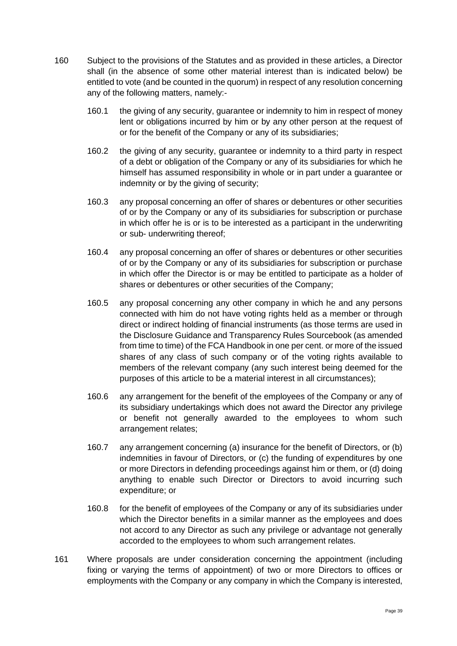- <span id="page-38-0"></span>160 Subject to the provisions of the Statutes and as provided in these articles, a Director shall (in the absence of some other material interest than is indicated below) be entitled to vote (and be counted in the quorum) in respect of any resolution concerning any of the following matters, namely:-
	- 160.1 the giving of any security, guarantee or indemnity to him in respect of money lent or obligations incurred by him or by any other person at the request of or for the benefit of the Company or any of its subsidiaries;
	- 160.2 the giving of any security, guarantee or indemnity to a third party in respect of a debt or obligation of the Company or any of its subsidiaries for which he himself has assumed responsibility in whole or in part under a guarantee or indemnity or by the giving of security;
	- 160.3 any proposal concerning an offer of shares or debentures or other securities of or by the Company or any of its subsidiaries for subscription or purchase in which offer he is or is to be interested as a participant in the underwriting or sub- underwriting thereof;
	- 160.4 any proposal concerning an offer of shares or debentures or other securities of or by the Company or any of its subsidiaries for subscription or purchase in which offer the Director is or may be entitled to participate as a holder of shares or debentures or other securities of the Company;
	- 160.5 any proposal concerning any other company in which he and any persons connected with him do not have voting rights held as a member or through direct or indirect holding of financial instruments (as those terms are used in the Disclosure Guidance and Transparency Rules Sourcebook (as amended from time to time) of the FCA Handbook in one per cent. or more of the issued shares of any class of such company or of the voting rights available to members of the relevant company (any such interest being deemed for the purposes of this article to be a material interest in all circumstances);
	- 160.6 any arrangement for the benefit of the employees of the Company or any of its subsidiary undertakings which does not award the Director any privilege or benefit not generally awarded to the employees to whom such arrangement relates;
	- 160.7 any arrangement concerning (a) insurance for the benefit of Directors, or (b) indemnities in favour of Directors, or (c) the funding of expenditures by one or more Directors in defending proceedings against him or them, or (d) doing anything to enable such Director or Directors to avoid incurring such expenditure; or
	- 160.8 for the benefit of employees of the Company or any of its subsidiaries under which the Director benefits in a similar manner as the employees and does not accord to any Director as such any privilege or advantage not generally accorded to the employees to whom such arrangement relates.
- 161 Where proposals are under consideration concerning the appointment (including fixing or varying the terms of appointment) of two or more Directors to offices or employments with the Company or any company in which the Company is interested,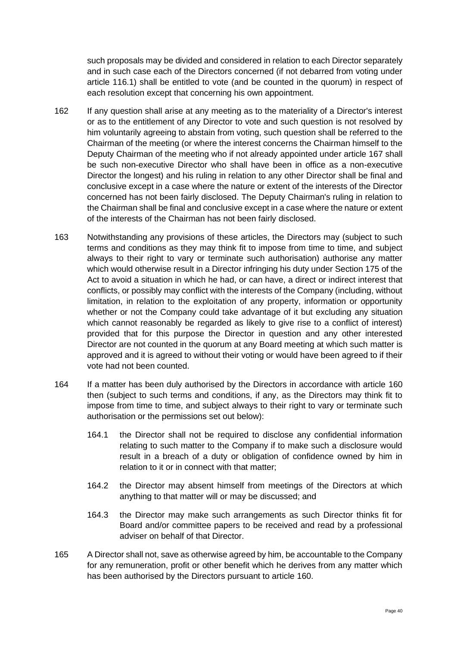such proposals may be divided and considered in relation to each Director separately and in such case each of the Directors concerned (if not debarred from voting under article [116.1\)](#page-27-3) shall be entitled to vote (and be counted in the quorum) in respect of each resolution except that concerning his own appointment.

- 162 If any question shall arise at any meeting as to the materiality of a Director's interest or as to the entitlement of any Director to vote and such question is not resolved by him voluntarily agreeing to abstain from voting, such question shall be referred to the Chairman of the meeting (or where the interest concerns the Chairman himself to the Deputy Chairman of the meeting who if not already appointed under article [167](#page-40-0) shall be such non-executive Director who shall have been in office as a non-executive Director the longest) and his ruling in relation to any other Director shall be final and conclusive except in a case where the nature or extent of the interests of the Director concerned has not been fairly disclosed. The Deputy Chairman's ruling in relation to the Chairman shall be final and conclusive except in a case where the nature or extent of the interests of the Chairman has not been fairly disclosed.
- 163 Notwithstanding any provisions of these articles, the Directors may (subject to such terms and conditions as they may think fit to impose from time to time, and subject always to their right to vary or terminate such authorisation) authorise any matter which would otherwise result in a Director infringing his duty under Section 175 of the Act to avoid a situation in which he had, or can have, a direct or indirect interest that conflicts, or possibly may conflict with the interests of the Company (including, without limitation, in relation to the exploitation of any property, information or opportunity whether or not the Company could take advantage of it but excluding any situation which cannot reasonably be regarded as likely to give rise to a conflict of interest) provided that for this purpose the Director in question and any other interested Director are not counted in the quorum at any Board meeting at which such matter is approved and it is agreed to without their voting or would have been agreed to if their vote had not been counted.
- 164 If a matter has been duly authorised by the Directors in accordance with article [160](#page-38-0) then (subject to such terms and conditions, if any, as the Directors may think fit to impose from time to time, and subject always to their right to vary or terminate such authorisation or the permissions set out below):
	- 164.1 the Director shall not be required to disclose any confidential information relating to such matter to the Company if to make such a disclosure would result in a breach of a duty or obligation of confidence owned by him in relation to it or in connect with that matter;
	- 164.2 the Director may absent himself from meetings of the Directors at which anything to that matter will or may be discussed; and
	- 164.3 the Director may make such arrangements as such Director thinks fit for Board and/or committee papers to be received and read by a professional adviser on behalf of that Director.
- 165 A Director shall not, save as otherwise agreed by him, be accountable to the Company for any remuneration, profit or other benefit which he derives from any matter which has been authorised by the Directors pursuant to article [160.](#page-38-0)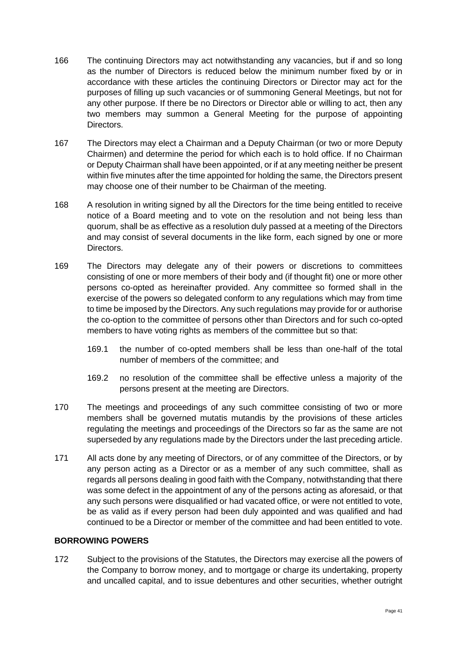- 166 The continuing Directors may act notwithstanding any vacancies, but if and so long as the number of Directors is reduced below the minimum number fixed by or in accordance with these articles the continuing Directors or Director may act for the purposes of filling up such vacancies or of summoning General Meetings, but not for any other purpose. If there be no Directors or Director able or willing to act, then any two members may summon a General Meeting for the purpose of appointing Directors.
- <span id="page-40-0"></span>167 The Directors may elect a Chairman and a Deputy Chairman (or two or more Deputy Chairmen) and determine the period for which each is to hold office. If no Chairman or Deputy Chairman shall have been appointed, or if at any meeting neither be present within five minutes after the time appointed for holding the same, the Directors present may choose one of their number to be Chairman of the meeting.
- 168 A resolution in writing signed by all the Directors for the time being entitled to receive notice of a Board meeting and to vote on the resolution and not being less than quorum, shall be as effective as a resolution duly passed at a meeting of the Directors and may consist of several documents in the like form, each signed by one or more Directors.
- 169 The Directors may delegate any of their powers or discretions to committees consisting of one or more members of their body and (if thought fit) one or more other persons co-opted as hereinafter provided. Any committee so formed shall in the exercise of the powers so delegated conform to any regulations which may from time to time be imposed by the Directors. Any such regulations may provide for or authorise the co-option to the committee of persons other than Directors and for such co-opted members to have voting rights as members of the committee but so that:
	- 169.1 the number of co-opted members shall be less than one-half of the total number of members of the committee; and
	- 169.2 no resolution of the committee shall be effective unless a majority of the persons present at the meeting are Directors.
- 170 The meetings and proceedings of any such committee consisting of two or more members shall be governed mutatis mutandis by the provisions of these articles regulating the meetings and proceedings of the Directors so far as the same are not superseded by any regulations made by the Directors under the last preceding article.
- 171 All acts done by any meeting of Directors, or of any committee of the Directors, or by any person acting as a Director or as a member of any such committee, shall as regards all persons dealing in good faith with the Company, notwithstanding that there was some defect in the appointment of any of the persons acting as aforesaid, or that any such persons were disqualified or had vacated office, or were not entitled to vote, be as valid as if every person had been duly appointed and was qualified and had continued to be a Director or member of the committee and had been entitled to vote.

#### **BORROWING POWERS**

172 Subject to the provisions of the Statutes, the Directors may exercise all the powers of the Company to borrow money, and to mortgage or charge its undertaking, property and uncalled capital, and to issue debentures and other securities, whether outright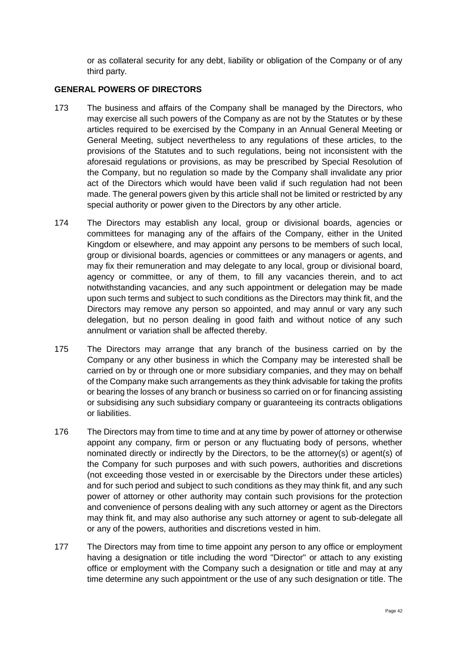or as collateral security for any debt, liability or obligation of the Company or of any third party.

### **GENERAL POWERS OF DIRECTORS**

- 173 The business and affairs of the Company shall be managed by the Directors, who may exercise all such powers of the Company as are not by the Statutes or by these articles required to be exercised by the Company in an Annual General Meeting or General Meeting, subject nevertheless to any regulations of these articles, to the provisions of the Statutes and to such regulations, being not inconsistent with the aforesaid regulations or provisions, as may be prescribed by Special Resolution of the Company, but no regulation so made by the Company shall invalidate any prior act of the Directors which would have been valid if such regulation had not been made. The general powers given by this article shall not be limited or restricted by any special authority or power given to the Directors by any other article.
- 174 The Directors may establish any local, group or divisional boards, agencies or committees for managing any of the affairs of the Company, either in the United Kingdom or elsewhere, and may appoint any persons to be members of such local, group or divisional boards, agencies or committees or any managers or agents, and may fix their remuneration and may delegate to any local, group or divisional board, agency or committee, or any of them, to fill any vacancies therein, and to act notwithstanding vacancies, and any such appointment or delegation may be made upon such terms and subject to such conditions as the Directors may think fit, and the Directors may remove any person so appointed, and may annul or vary any such delegation, but no person dealing in good faith and without notice of any such annulment or variation shall be affected thereby.
- 175 The Directors may arrange that any branch of the business carried on by the Company or any other business in which the Company may be interested shall be carried on by or through one or more subsidiary companies, and they may on behalf of the Company make such arrangements as they think advisable for taking the profits or bearing the losses of any branch or business so carried on or for financing assisting or subsidising any such subsidiary company or guaranteeing its contracts obligations or liabilities.
- 176 The Directors may from time to time and at any time by power of attorney or otherwise appoint any company, firm or person or any fluctuating body of persons, whether nominated directly or indirectly by the Directors, to be the attorney(s) or agent(s) of the Company for such purposes and with such powers, authorities and discretions (not exceeding those vested in or exercisable by the Directors under these articles) and for such period and subject to such conditions as they may think fit, and any such power of attorney or other authority may contain such provisions for the protection and convenience of persons dealing with any such attorney or agent as the Directors may think fit, and may also authorise any such attorney or agent to sub-delegate all or any of the powers, authorities and discretions vested in him.
- 177 The Directors may from time to time appoint any person to any office or employment having a designation or title including the word "Director" or attach to any existing office or employment with the Company such a designation or title and may at any time determine any such appointment or the use of any such designation or title. The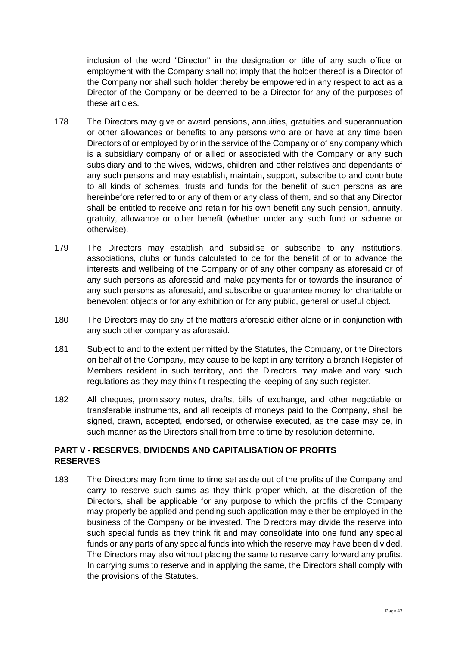inclusion of the word "Director" in the designation or title of any such office or employment with the Company shall not imply that the holder thereof is a Director of the Company nor shall such holder thereby be empowered in any respect to act as a Director of the Company or be deemed to be a Director for any of the purposes of these articles.

- 178 The Directors may give or award pensions, annuities, gratuities and superannuation or other allowances or benefits to any persons who are or have at any time been Directors of or employed by or in the service of the Company or of any company which is a subsidiary company of or allied or associated with the Company or any such subsidiary and to the wives, widows, children and other relatives and dependants of any such persons and may establish, maintain, support, subscribe to and contribute to all kinds of schemes, trusts and funds for the benefit of such persons as are hereinbefore referred to or any of them or any class of them, and so that any Director shall be entitled to receive and retain for his own benefit any such pension, annuity, gratuity, allowance or other benefit (whether under any such fund or scheme or otherwise).
- 179 The Directors may establish and subsidise or subscribe to any institutions, associations, clubs or funds calculated to be for the benefit of or to advance the interests and wellbeing of the Company or of any other company as aforesaid or of any such persons as aforesaid and make payments for or towards the insurance of any such persons as aforesaid, and subscribe or guarantee money for charitable or benevolent objects or for any exhibition or for any public, general or useful object.
- 180 The Directors may do any of the matters aforesaid either alone or in conjunction with any such other company as aforesaid.
- 181 Subject to and to the extent permitted by the Statutes, the Company, or the Directors on behalf of the Company, may cause to be kept in any territory a branch Register of Members resident in such territory, and the Directors may make and vary such regulations as they may think fit respecting the keeping of any such register.
- 182 All cheques, promissory notes, drafts, bills of exchange, and other negotiable or transferable instruments, and all receipts of moneys paid to the Company, shall be signed, drawn, accepted, endorsed, or otherwise executed, as the case may be, in such manner as the Directors shall from time to time by resolution determine.

### **PART V - RESERVES, DIVIDENDS AND CAPITALISATION OF PROFITS RESERVES**

183 The Directors may from time to time set aside out of the profits of the Company and carry to reserve such sums as they think proper which, at the discretion of the Directors, shall be applicable for any purpose to which the profits of the Company may properly be applied and pending such application may either be employed in the business of the Company or be invested. The Directors may divide the reserve into such special funds as they think fit and may consolidate into one fund any special funds or any parts of any special funds into which the reserve may have been divided. The Directors may also without placing the same to reserve carry forward any profits. In carrying sums to reserve and in applying the same, the Directors shall comply with the provisions of the Statutes.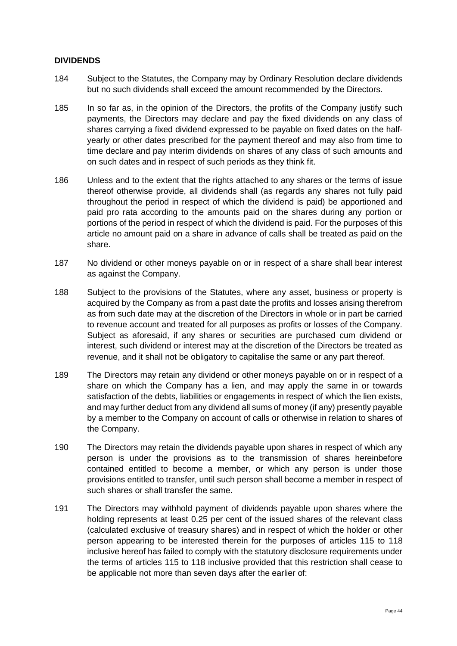#### **DIVIDENDS**

- 184 Subject to the Statutes, the Company may by Ordinary Resolution declare dividends but no such dividends shall exceed the amount recommended by the Directors.
- 185 In so far as, in the opinion of the Directors, the profits of the Company justify such payments, the Directors may declare and pay the fixed dividends on any class of shares carrying a fixed dividend expressed to be payable on fixed dates on the halfyearly or other dates prescribed for the payment thereof and may also from time to time declare and pay interim dividends on shares of any class of such amounts and on such dates and in respect of such periods as they think fit.
- 186 Unless and to the extent that the rights attached to any shares or the terms of issue thereof otherwise provide, all dividends shall (as regards any shares not fully paid throughout the period in respect of which the dividend is paid) be apportioned and paid pro rata according to the amounts paid on the shares during any portion or portions of the period in respect of which the dividend is paid. For the purposes of this article no amount paid on a share in advance of calls shall be treated as paid on the share.
- 187 No dividend or other moneys payable on or in respect of a share shall bear interest as against the Company.
- 188 Subject to the provisions of the Statutes, where any asset, business or property is acquired by the Company as from a past date the profits and losses arising therefrom as from such date may at the discretion of the Directors in whole or in part be carried to revenue account and treated for all purposes as profits or losses of the Company. Subject as aforesaid, if any shares or securities are purchased cum dividend or interest, such dividend or interest may at the discretion of the Directors be treated as revenue, and it shall not be obligatory to capitalise the same or any part thereof.
- 189 The Directors may retain any dividend or other moneys payable on or in respect of a share on which the Company has a lien, and may apply the same in or towards satisfaction of the debts, liabilities or engagements in respect of which the lien exists, and may further deduct from any dividend all sums of money (if any) presently payable by a member to the Company on account of calls or otherwise in relation to shares of the Company.
- 190 The Directors may retain the dividends payable upon shares in respect of which any person is under the provisions as to the transmission of shares hereinbefore contained entitled to become a member, or which any person is under those provisions entitled to transfer, until such person shall become a member in respect of such shares or shall transfer the same.
- 191 The Directors may withhold payment of dividends payable upon shares where the holding represents at least 0.25 per cent of the issued shares of the relevant class (calculated exclusive of treasury shares) and in respect of which the holder or other person appearing to be interested therein for the purposes of articles [115](#page-27-0) to [118](#page-28-1) inclusive hereof has failed to comply with the statutory disclosure requirements under the terms of articles [115](#page-27-0) to [118](#page-28-1) inclusive provided that this restriction shall cease to be applicable not more than seven days after the earlier of: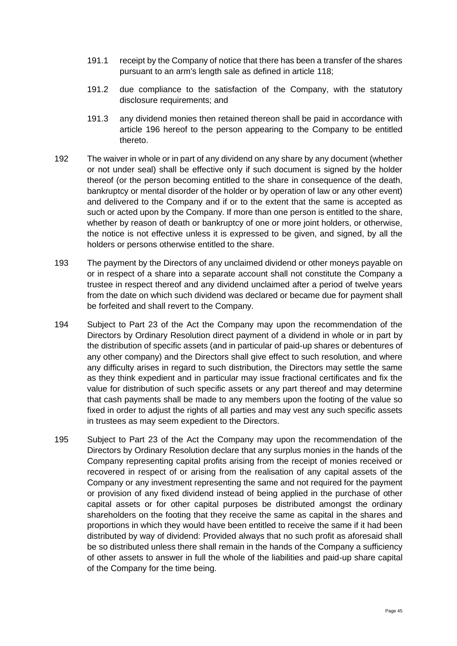- 191.1 receipt by the Company of notice that there has been a transfer of the shares pursuant to an arm's length sale as defined in article [118;](#page-28-1)
- 191.2 due compliance to the satisfaction of the Company, with the statutory disclosure requirements; and
- 191.3 any dividend monies then retained thereon shall be paid in accordance with article 196 hereof to the person appearing to the Company to be entitled thereto.
- 192 The waiver in whole or in part of any dividend on any share by any document (whether or not under seal) shall be effective only if such document is signed by the holder thereof (or the person becoming entitled to the share in consequence of the death, bankruptcy or mental disorder of the holder or by operation of law or any other event) and delivered to the Company and if or to the extent that the same is accepted as such or acted upon by the Company. If more than one person is entitled to the share, whether by reason of death or bankruptcy of one or more joint holders, or otherwise, the notice is not effective unless it is expressed to be given, and signed, by all the holders or persons otherwise entitled to the share.
- 193 The payment by the Directors of any unclaimed dividend or other moneys payable on or in respect of a share into a separate account shall not constitute the Company a trustee in respect thereof and any dividend unclaimed after a period of twelve years from the date on which such dividend was declared or became due for payment shall be forfeited and shall revert to the Company.
- 194 Subject to Part 23 of the Act the Company may upon the recommendation of the Directors by Ordinary Resolution direct payment of a dividend in whole or in part by the distribution of specific assets (and in particular of paid-up shares or debentures of any other company) and the Directors shall give effect to such resolution, and where any difficulty arises in regard to such distribution, the Directors may settle the same as they think expedient and in particular may issue fractional certificates and fix the value for distribution of such specific assets or any part thereof and may determine that cash payments shall be made to any members upon the footing of the value so fixed in order to adjust the rights of all parties and may vest any such specific assets in trustees as may seem expedient to the Directors.
- 195 Subject to Part 23 of the Act the Company may upon the recommendation of the Directors by Ordinary Resolution declare that any surplus monies in the hands of the Company representing capital profits arising from the receipt of monies received or recovered in respect of or arising from the realisation of any capital assets of the Company or any investment representing the same and not required for the payment or provision of any fixed dividend instead of being applied in the purchase of other capital assets or for other capital purposes be distributed amongst the ordinary shareholders on the footing that they receive the same as capital in the shares and proportions in which they would have been entitled to receive the same if it had been distributed by way of dividend: Provided always that no such profit as aforesaid shall be so distributed unless there shall remain in the hands of the Company a sufficiency of other assets to answer in full the whole of the liabilities and paid-up share capital of the Company for the time being.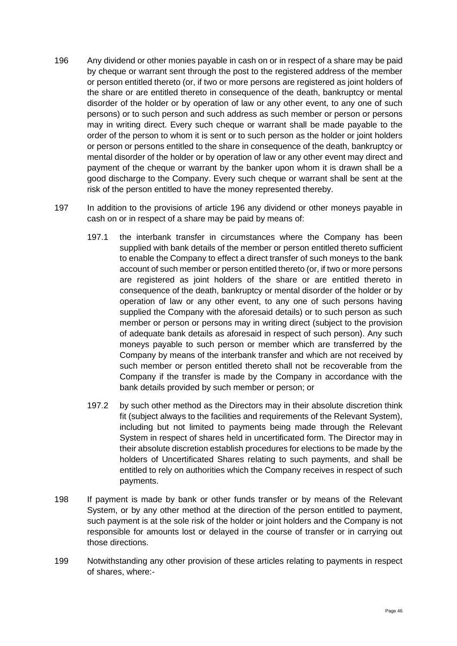- 196 Any dividend or other monies payable in cash on or in respect of a share may be paid by cheque or warrant sent through the post to the registered address of the member or person entitled thereto (or, if two or more persons are registered as joint holders of the share or are entitled thereto in consequence of the death, bankruptcy or mental disorder of the holder or by operation of law or any other event, to any one of such persons) or to such person and such address as such member or person or persons may in writing direct. Every such cheque or warrant shall be made payable to the order of the person to whom it is sent or to such person as the holder or joint holders or person or persons entitled to the share in consequence of the death, bankruptcy or mental disorder of the holder or by operation of law or any other event may direct and payment of the cheque or warrant by the banker upon whom it is drawn shall be a good discharge to the Company. Every such cheque or warrant shall be sent at the risk of the person entitled to have the money represented thereby.
- 197 In addition to the provisions of article 196 any dividend or other moneys payable in cash on or in respect of a share may be paid by means of:
	- 197.1 the interbank transfer in circumstances where the Company has been supplied with bank details of the member or person entitled thereto sufficient to enable the Company to effect a direct transfer of such moneys to the bank account of such member or person entitled thereto (or, if two or more persons are registered as joint holders of the share or are entitled thereto in consequence of the death, bankruptcy or mental disorder of the holder or by operation of law or any other event, to any one of such persons having supplied the Company with the aforesaid details) or to such person as such member or person or persons may in writing direct (subject to the provision of adequate bank details as aforesaid in respect of such person). Any such moneys payable to such person or member which are transferred by the Company by means of the interbank transfer and which are not received by such member or person entitled thereto shall not be recoverable from the Company if the transfer is made by the Company in accordance with the bank details provided by such member or person; or
	- 197.2 by such other method as the Directors may in their absolute discretion think fit (subject always to the facilities and requirements of the Relevant System), including but not limited to payments being made through the Relevant System in respect of shares held in uncertificated form. The Director may in their absolute discretion establish procedures for elections to be made by the holders of Uncertificated Shares relating to such payments, and shall be entitled to rely on authorities which the Company receives in respect of such payments.
- 198 If payment is made by bank or other funds transfer or by means of the Relevant System, or by any other method at the direction of the person entitled to payment, such payment is at the sole risk of the holder or joint holders and the Company is not responsible for amounts lost or delayed in the course of transfer or in carrying out those directions.
- 199 Notwithstanding any other provision of these articles relating to payments in respect of shares, where:-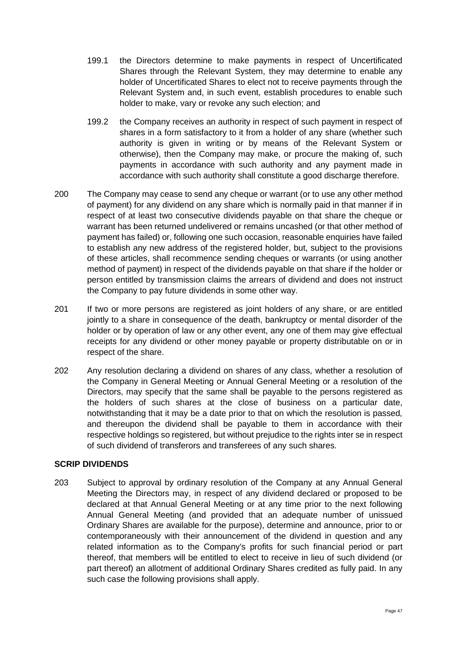- 199.1 the Directors determine to make payments in respect of Uncertificated Shares through the Relevant System, they may determine to enable any holder of Uncertificated Shares to elect not to receive payments through the Relevant System and, in such event, establish procedures to enable such holder to make, vary or revoke any such election; and
- 199.2 the Company receives an authority in respect of such payment in respect of shares in a form satisfactory to it from a holder of any share (whether such authority is given in writing or by means of the Relevant System or otherwise), then the Company may make, or procure the making of, such payments in accordance with such authority and any payment made in accordance with such authority shall constitute a good discharge therefore.
- 200 The Company may cease to send any cheque or warrant (or to use any other method of payment) for any dividend on any share which is normally paid in that manner if in respect of at least two consecutive dividends payable on that share the cheque or warrant has been returned undelivered or remains uncashed (or that other method of payment has failed) or, following one such occasion, reasonable enquiries have failed to establish any new address of the registered holder, but, subject to the provisions of these articles, shall recommence sending cheques or warrants (or using another method of payment) in respect of the dividends payable on that share if the holder or person entitled by transmission claims the arrears of dividend and does not instruct the Company to pay future dividends in some other way.
- 201 If two or more persons are registered as joint holders of any share, or are entitled jointly to a share in consequence of the death, bankruptcy or mental disorder of the holder or by operation of law or any other event, any one of them may give effectual receipts for any dividend or other money payable or property distributable on or in respect of the share.
- <span id="page-46-0"></span>202 Any resolution declaring a dividend on shares of any class, whether a resolution of the Company in General Meeting or Annual General Meeting or a resolution of the Directors, may specify that the same shall be payable to the persons registered as the holders of such shares at the close of business on a particular date, notwithstanding that it may be a date prior to that on which the resolution is passed, and thereupon the dividend shall be payable to them in accordance with their respective holdings so registered, but without prejudice to the rights inter se in respect of such dividend of transferors and transferees of any such shares.

#### **SCRIP DIVIDENDS**

203 Subject to approval by ordinary resolution of the Company at any Annual General Meeting the Directors may, in respect of any dividend declared or proposed to be declared at that Annual General Meeting or at any time prior to the next following Annual General Meeting (and provided that an adequate number of unissued Ordinary Shares are available for the purpose), determine and announce, prior to or contemporaneously with their announcement of the dividend in question and any related information as to the Company's profits for such financial period or part thereof, that members will be entitled to elect to receive in lieu of such dividend (or part thereof) an allotment of additional Ordinary Shares credited as fully paid. In any such case the following provisions shall apply.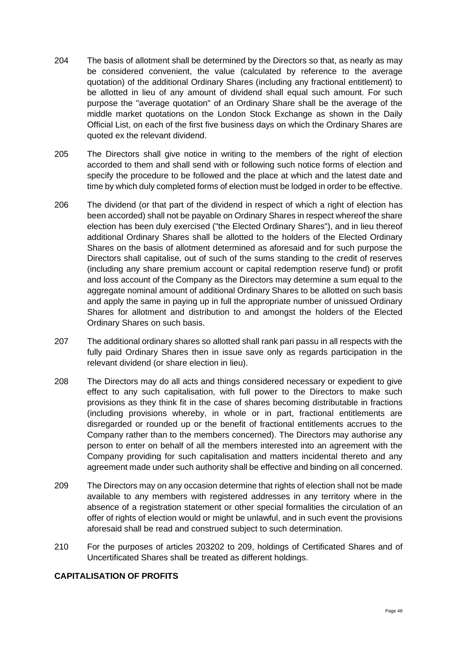- 204 The basis of allotment shall be determined by the Directors so that, as nearly as may be considered convenient, the value (calculated by reference to the average quotation) of the additional Ordinary Shares (including any fractional entitlement) to be allotted in lieu of any amount of dividend shall equal such amount. For such purpose the "average quotation" of an Ordinary Share shall be the average of the middle market quotations on the London Stock Exchange as shown in the Daily Official List, on each of the first five business days on which the Ordinary Shares are quoted ex the relevant dividend.
- 205 The Directors shall give notice in writing to the members of the right of election accorded to them and shall send with or following such notice forms of election and specify the procedure to be followed and the place at which and the latest date and time by which duly completed forms of election must be lodged in order to be effective.
- 206 The dividend (or that part of the dividend in respect of which a right of election has been accorded) shall not be payable on Ordinary Shares in respect whereof the share election has been duly exercised ("the Elected Ordinary Shares"), and in lieu thereof additional Ordinary Shares shall be allotted to the holders of the Elected Ordinary Shares on the basis of allotment determined as aforesaid and for such purpose the Directors shall capitalise, out of such of the sums standing to the credit of reserves (including any share premium account or capital redemption reserve fund) or profit and loss account of the Company as the Directors may determine a sum equal to the aggregate nominal amount of additional Ordinary Shares to be allotted on such basis and apply the same in paying up in full the appropriate number of unissued Ordinary Shares for allotment and distribution to and amongst the holders of the Elected Ordinary Shares on such basis.
- 207 The additional ordinary shares so allotted shall rank pari passu in all respects with the fully paid Ordinary Shares then in issue save only as regards participation in the relevant dividend (or share election in lieu).
- 208 The Directors may do all acts and things considered necessary or expedient to give effect to any such capitalisation, with full power to the Directors to make such provisions as they think fit in the case of shares becoming distributable in fractions (including provisions whereby, in whole or in part, fractional entitlements are disregarded or rounded up or the benefit of fractional entitlements accrues to the Company rather than to the members concerned). The Directors may authorise any person to enter on behalf of all the members interested into an agreement with the Company providing for such capitalisation and matters incidental thereto and any agreement made under such authority shall be effective and binding on all concerned.
- 209 The Directors may on any occasion determine that rights of election shall not be made available to any members with registered addresses in any territory where in the absence of a registration statement or other special formalities the circulation of an offer of rights of election would or might be unlawful, and in such event the provisions aforesaid shall be read and construed subject to such determination.
- 210 For the purposes of articles 20[3202](#page-46-0) to 209, holdings of Certificated Shares and of Uncertificated Shares shall be treated as different holdings.

## **CAPITALISATION OF PROFITS**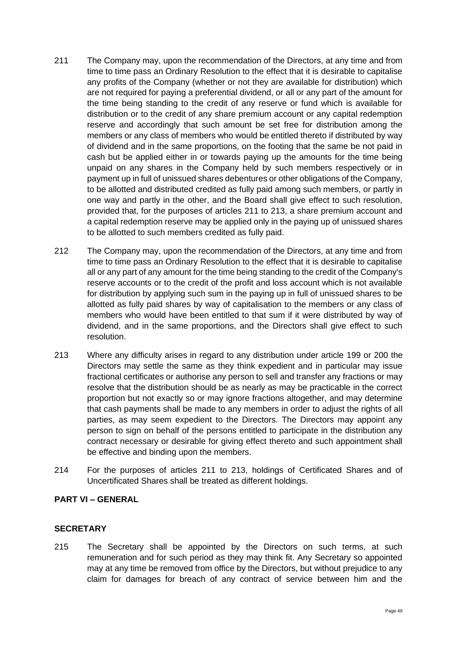- 211 The Company may, upon the recommendation of the Directors, at any time and from time to time pass an Ordinary Resolution to the effect that it is desirable to capitalise any profits of the Company (whether or not they are available for distribution) which are not required for paying a preferential dividend, or all or any part of the amount for the time being standing to the credit of any reserve or fund which is available for distribution or to the credit of any share premium account or any capital redemption reserve and accordingly that such amount be set free for distribution among the members or any class of members who would be entitled thereto if distributed by way of dividend and in the same proportions, on the footing that the same be not paid in cash but be applied either in or towards paying up the amounts for the time being unpaid on any shares in the Company held by such members respectively or in payment up in full of unissued shares debentures or other obligations of the Company, to be allotted and distributed credited as fully paid among such members, or partly in one way and partly in the other, and the Board shall give effect to such resolution, provided that, for the purposes of articles 211 to 213, a share premium account and a capital redemption reserve may be applied only in the paying up of unissued shares to be allotted to such members credited as fully paid.
- 212 The Company may, upon the recommendation of the Directors, at any time and from time to time pass an Ordinary Resolution to the effect that it is desirable to capitalise all or any part of any amount for the time being standing to the credit of the Company's reserve accounts or to the credit of the profit and loss account which is not available for distribution by applying such sum in the paying up in full of unissued shares to be allotted as fully paid shares by way of capitalisation to the members or any class of members who would have been entitled to that sum if it were distributed by way of dividend, and in the same proportions, and the Directors shall give effect to such resolution.
- 213 Where any difficulty arises in regard to any distribution under article 199 or 200 the Directors may settle the same as they think expedient and in particular may issue fractional certificates or authorise any person to sell and transfer any fractions or may resolve that the distribution should be as nearly as may be practicable in the correct proportion but not exactly so or may ignore fractions altogether, and may determine that cash payments shall be made to any members in order to adjust the rights of all parties, as may seem expedient to the Directors. The Directors may appoint any person to sign on behalf of the persons entitled to participate in the distribution any contract necessary or desirable for giving effect thereto and such appointment shall be effective and binding upon the members.
- 214 For the purposes of articles 211 to 213, holdings of Certificated Shares and of Uncertificated Shares shall be treated as different holdings.

#### **PART VI – GENERAL**

#### **SECRETARY**

215 The Secretary shall be appointed by the Directors on such terms, at such remuneration and for such period as they may think fit. Any Secretary so appointed may at any time be removed from office by the Directors, but without prejudice to any claim for damages for breach of any contract of service between him and the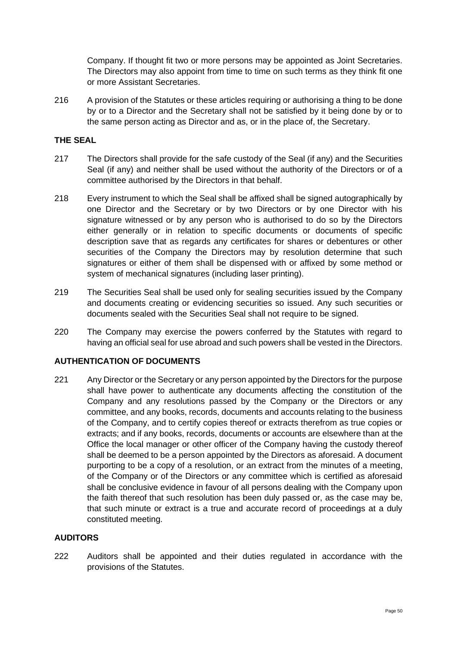Company. If thought fit two or more persons may be appointed as Joint Secretaries. The Directors may also appoint from time to time on such terms as they think fit one or more Assistant Secretaries.

216 A provision of the Statutes or these articles requiring or authorising a thing to be done by or to a Director and the Secretary shall not be satisfied by it being done by or to the same person acting as Director and as, or in the place of, the Secretary.

#### **THE SEAL**

- 217 The Directors shall provide for the safe custody of the Seal (if any) and the Securities Seal (if any) and neither shall be used without the authority of the Directors or of a committee authorised by the Directors in that behalf.
- 218 Every instrument to which the Seal shall be affixed shall be signed autographically by one Director and the Secretary or by two Directors or by one Director with his signature witnessed or by any person who is authorised to do so by the Directors either generally or in relation to specific documents or documents of specific description save that as regards any certificates for shares or debentures or other securities of the Company the Directors may by resolution determine that such signatures or either of them shall be dispensed with or affixed by some method or system of mechanical signatures (including laser printing).
- 219 The Securities Seal shall be used only for sealing securities issued by the Company and documents creating or evidencing securities so issued. Any such securities or documents sealed with the Securities Seal shall not require to be signed.
- 220 The Company may exercise the powers conferred by the Statutes with regard to having an official seal for use abroad and such powers shall be vested in the Directors.

#### **AUTHENTICATION OF DOCUMENTS**

221 Any Director or the Secretary or any person appointed by the Directors for the purpose shall have power to authenticate any documents affecting the constitution of the Company and any resolutions passed by the Company or the Directors or any committee, and any books, records, documents and accounts relating to the business of the Company, and to certify copies thereof or extracts therefrom as true copies or extracts; and if any books, records, documents or accounts are elsewhere than at the Office the local manager or other officer of the Company having the custody thereof shall be deemed to be a person appointed by the Directors as aforesaid. A document purporting to be a copy of a resolution, or an extract from the minutes of a meeting, of the Company or of the Directors or any committee which is certified as aforesaid shall be conclusive evidence in favour of all persons dealing with the Company upon the faith thereof that such resolution has been duly passed or, as the case may be, that such minute or extract is a true and accurate record of proceedings at a duly constituted meeting.

#### **AUDITORS**

222 Auditors shall be appointed and their duties regulated in accordance with the provisions of the Statutes.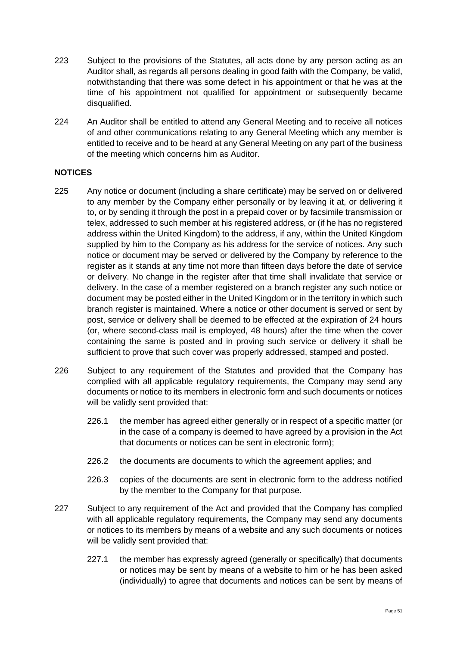- 223 Subject to the provisions of the Statutes, all acts done by any person acting as an Auditor shall, as regards all persons dealing in good faith with the Company, be valid, notwithstanding that there was some defect in his appointment or that he was at the time of his appointment not qualified for appointment or subsequently became disqualified.
- 224 An Auditor shall be entitled to attend any General Meeting and to receive all notices of and other communications relating to any General Meeting which any member is entitled to receive and to be heard at any General Meeting on any part of the business of the meeting which concerns him as Auditor.

### **NOTICES**

- 225 Any notice or document (including a share certificate) may be served on or delivered to any member by the Company either personally or by leaving it at, or delivering it to, or by sending it through the post in a prepaid cover or by facsimile transmission or telex, addressed to such member at his registered address, or (if he has no registered address within the United Kingdom) to the address, if any, within the United Kingdom supplied by him to the Company as his address for the service of notices. Any such notice or document may be served or delivered by the Company by reference to the register as it stands at any time not more than fifteen days before the date of service or delivery. No change in the register after that time shall invalidate that service or delivery. In the case of a member registered on a branch register any such notice or document may be posted either in the United Kingdom or in the territory in which such branch register is maintained. Where a notice or other document is served or sent by post, service or delivery shall be deemed to be effected at the expiration of 24 hours (or, where second-class mail is employed, 48 hours) after the time when the cover containing the same is posted and in proving such service or delivery it shall be sufficient to prove that such cover was properly addressed, stamped and posted.
- 226 Subject to any requirement of the Statutes and provided that the Company has complied with all applicable regulatory requirements, the Company may send any documents or notice to its members in electronic form and such documents or notices will be validly sent provided that:
	- 226.1 the member has agreed either generally or in respect of a specific matter (or in the case of a company is deemed to have agreed by a provision in the Act that documents or notices can be sent in electronic form);
	- 226.2 the documents are documents to which the agreement applies; and
	- 226.3 copies of the documents are sent in electronic form to the address notified by the member to the Company for that purpose.
- 227 Subject to any requirement of the Act and provided that the Company has complied with all applicable regulatory requirements, the Company may send any documents or notices to its members by means of a website and any such documents or notices will be validly sent provided that:
	- 227.1 the member has expressly agreed (generally or specifically) that documents or notices may be sent by means of a website to him or he has been asked (individually) to agree that documents and notices can be sent by means of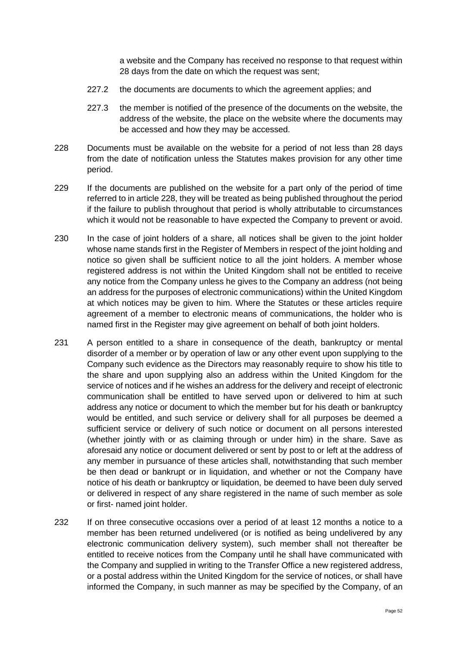a website and the Company has received no response to that request within 28 days from the date on which the request was sent;

- 227.2 the documents are documents to which the agreement applies; and
- 227.3 the member is notified of the presence of the documents on the website, the address of the website, the place on the website where the documents may be accessed and how they may be accessed.
- 228 Documents must be available on the website for a period of not less than 28 days from the date of notification unless the Statutes makes provision for any other time period.
- 229 If the documents are published on the website for a part only of the period of time referred to in article 228, they will be treated as being published throughout the period if the failure to publish throughout that period is wholly attributable to circumstances which it would not be reasonable to have expected the Company to prevent or avoid.
- 230 In the case of joint holders of a share, all notices shall be given to the joint holder whose name stands first in the Register of Members in respect of the joint holding and notice so given shall be sufficient notice to all the joint holders. A member whose registered address is not within the United Kingdom shall not be entitled to receive any notice from the Company unless he gives to the Company an address (not being an address for the purposes of electronic communications) within the United Kingdom at which notices may be given to him. Where the Statutes or these articles require agreement of a member to electronic means of communications, the holder who is named first in the Register may give agreement on behalf of both joint holders.
- 231 A person entitled to a share in consequence of the death, bankruptcy or mental disorder of a member or by operation of law or any other event upon supplying to the Company such evidence as the Directors may reasonably require to show his title to the share and upon supplying also an address within the United Kingdom for the service of notices and if he wishes an address for the delivery and receipt of electronic communication shall be entitled to have served upon or delivered to him at such address any notice or document to which the member but for his death or bankruptcy would be entitled, and such service or delivery shall for all purposes be deemed a sufficient service or delivery of such notice or document on all persons interested (whether jointly with or as claiming through or under him) in the share. Save as aforesaid any notice or document delivered or sent by post to or left at the address of any member in pursuance of these articles shall, notwithstanding that such member be then dead or bankrupt or in liquidation, and whether or not the Company have notice of his death or bankruptcy or liquidation, be deemed to have been duly served or delivered in respect of any share registered in the name of such member as sole or first- named joint holder.
- 232 If on three consecutive occasions over a period of at least 12 months a notice to a member has been returned undelivered (or is notified as being undelivered by any electronic communication delivery system), such member shall not thereafter be entitled to receive notices from the Company until he shall have communicated with the Company and supplied in writing to the Transfer Office a new registered address, or a postal address within the United Kingdom for the service of notices, or shall have informed the Company, in such manner as may be specified by the Company, of an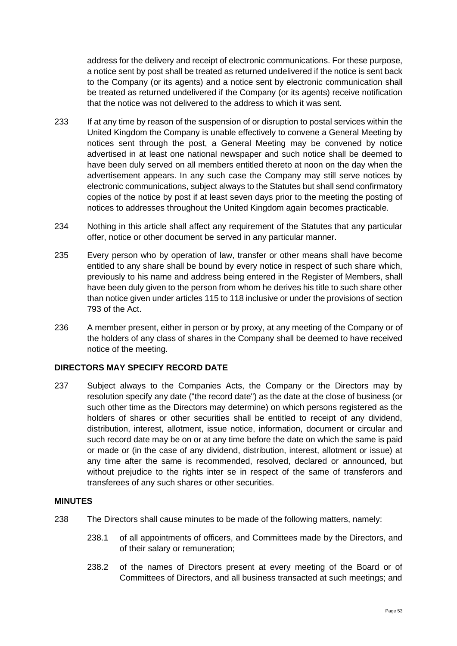address for the delivery and receipt of electronic communications. For these purpose, a notice sent by post shall be treated as returned undelivered if the notice is sent back to the Company (or its agents) and a notice sent by electronic communication shall be treated as returned undelivered if the Company (or its agents) receive notification that the notice was not delivered to the address to which it was sent.

- 233 If at any time by reason of the suspension of or disruption to postal services within the United Kingdom the Company is unable effectively to convene a General Meeting by notices sent through the post, a General Meeting may be convened by notice advertised in at least one national newspaper and such notice shall be deemed to have been duly served on all members entitled thereto at noon on the day when the advertisement appears. In any such case the Company may still serve notices by electronic communications, subject always to the Statutes but shall send confirmatory copies of the notice by post if at least seven days prior to the meeting the posting of notices to addresses throughout the United Kingdom again becomes practicable.
- 234 Nothing in this article shall affect any requirement of the Statutes that any particular offer, notice or other document be served in any particular manner.
- 235 Every person who by operation of law, transfer or other means shall have become entitled to any share shall be bound by every notice in respect of such share which, previously to his name and address being entered in the Register of Members, shall have been duly given to the person from whom he derives his title to such share other than notice given under articles [115](#page-27-0) to [118](#page-28-1) inclusive or under the provisions of section 793 of the Act.
- 236 A member present, either in person or by proxy, at any meeting of the Company or of the holders of any class of shares in the Company shall be deemed to have received notice of the meeting.

#### **DIRECTORS MAY SPECIFY RECORD DATE**

237 Subject always to the Companies Acts, the Company or the Directors may by resolution specify any date ("the record date") as the date at the close of business (or such other time as the Directors may determine) on which persons registered as the holders of shares or other securities shall be entitled to receipt of any dividend, distribution, interest, allotment, issue notice, information, document or circular and such record date may be on or at any time before the date on which the same is paid or made or (in the case of any dividend, distribution, interest, allotment or issue) at any time after the same is recommended, resolved, declared or announced, but without prejudice to the rights inter se in respect of the same of transferors and transferees of any such shares or other securities.

### **MINUTES**

- 238 The Directors shall cause minutes to be made of the following matters, namely:
	- 238.1 of all appointments of officers, and Committees made by the Directors, and of their salary or remuneration;
	- 238.2 of the names of Directors present at every meeting of the Board or of Committees of Directors, and all business transacted at such meetings; and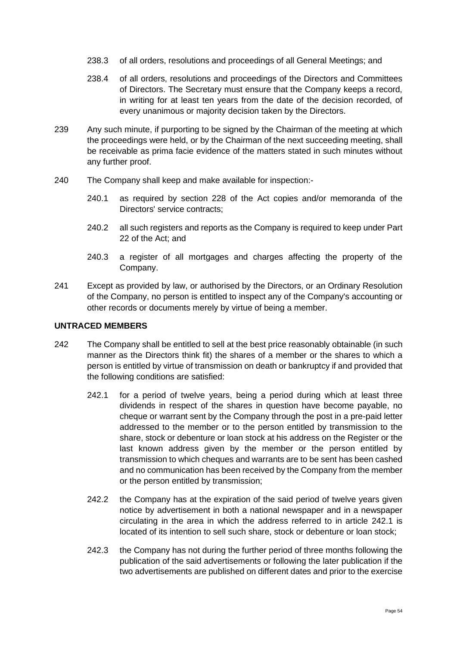- 238.3 of all orders, resolutions and proceedings of all General Meetings; and
- 238.4 of all orders, resolutions and proceedings of the Directors and Committees of Directors. The Secretary must ensure that the Company keeps a record, in writing for at least ten years from the date of the decision recorded, of every unanimous or majority decision taken by the Directors.
- 239 Any such minute, if purporting to be signed by the Chairman of the meeting at which the proceedings were held, or by the Chairman of the next succeeding meeting, shall be receivable as prima facie evidence of the matters stated in such minutes without any further proof.
- 240 The Company shall keep and make available for inspection:-
	- 240.1 as required by section 228 of the Act copies and/or memoranda of the Directors' service contracts;
	- 240.2 all such registers and reports as the Company is required to keep under Part 22 of the Act; and
	- 240.3 a register of all mortgages and charges affecting the property of the Company.
- 241 Except as provided by law, or authorised by the Directors, or an Ordinary Resolution of the Company, no person is entitled to inspect any of the Company's accounting or other records or documents merely by virtue of being a member.

#### **UNTRACED MEMBERS**

- 242 The Company shall be entitled to sell at the best price reasonably obtainable (in such manner as the Directors think fit) the shares of a member or the shares to which a person is entitled by virtue of transmission on death or bankruptcy if and provided that the following conditions are satisfied:
	- 242.1 for a period of twelve years, being a period during which at least three dividends in respect of the shares in question have become payable, no cheque or warrant sent by the Company through the post in a pre-paid letter addressed to the member or to the person entitled by transmission to the share, stock or debenture or loan stock at his address on the Register or the last known address given by the member or the person entitled by transmission to which cheques and warrants are to be sent has been cashed and no communication has been received by the Company from the member or the person entitled by transmission;
	- 242.2 the Company has at the expiration of the said period of twelve years given notice by advertisement in both a national newspaper and in a newspaper circulating in the area in which the address referred to in article 242.1 is located of its intention to sell such share, stock or debenture or loan stock;
	- 242.3 the Company has not during the further period of three months following the publication of the said advertisements or following the later publication if the two advertisements are published on different dates and prior to the exercise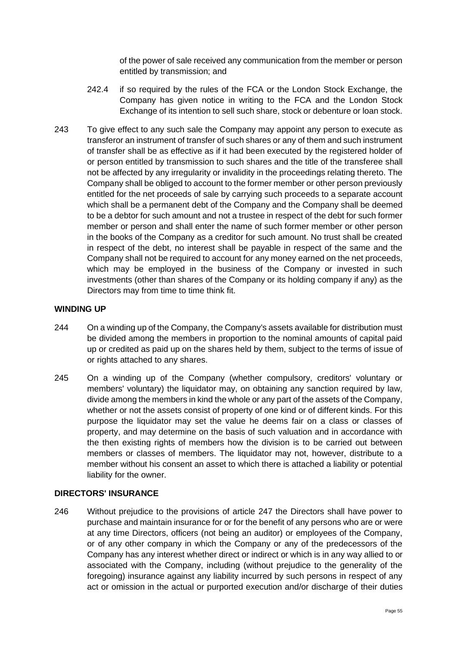of the power of sale received any communication from the member or person entitled by transmission; and

- 242.4 if so required by the rules of the FCA or the London Stock Exchange, the Company has given notice in writing to the FCA and the London Stock Exchange of its intention to sell such share, stock or debenture or loan stock.
- 243 To give effect to any such sale the Company may appoint any person to execute as transferor an instrument of transfer of such shares or any of them and such instrument of transfer shall be as effective as if it had been executed by the registered holder of or person entitled by transmission to such shares and the title of the transferee shall not be affected by any irregularity or invalidity in the proceedings relating thereto. The Company shall be obliged to account to the former member or other person previously entitled for the net proceeds of sale by carrying such proceeds to a separate account which shall be a permanent debt of the Company and the Company shall be deemed to be a debtor for such amount and not a trustee in respect of the debt for such former member or person and shall enter the name of such former member or other person in the books of the Company as a creditor for such amount. No trust shall be created in respect of the debt, no interest shall be payable in respect of the same and the Company shall not be required to account for any money earned on the net proceeds, which may be employed in the business of the Company or invested in such investments (other than shares of the Company or its holding company if any) as the Directors may from time to time think fit.

#### **WINDING UP**

- 244 On a winding up of the Company, the Company's assets available for distribution must be divided among the members in proportion to the nominal amounts of capital paid up or credited as paid up on the shares held by them, subject to the terms of issue of or rights attached to any shares.
- 245 On a winding up of the Company (whether compulsory, creditors' voluntary or members' voluntary) the liquidator may, on obtaining any sanction required by law, divide among the members in kind the whole or any part of the assets of the Company, whether or not the assets consist of property of one kind or of different kinds. For this purpose the liquidator may set the value he deems fair on a class or classes of property, and may determine on the basis of such valuation and in accordance with the then existing rights of members how the division is to be carried out between members or classes of members. The liquidator may not, however, distribute to a member without his consent an asset to which there is attached a liability or potential liability for the owner.

#### **DIRECTORS' INSURANCE**

246 Without prejudice to the provisions of article [247](#page-55-0) the Directors shall have power to purchase and maintain insurance for or for the benefit of any persons who are or were at any time Directors, officers (not being an auditor) or employees of the Company, or of any other company in which the Company or any of the predecessors of the Company has any interest whether direct or indirect or which is in any way allied to or associated with the Company, including (without prejudice to the generality of the foregoing) insurance against any liability incurred by such persons in respect of any act or omission in the actual or purported execution and/or discharge of their duties